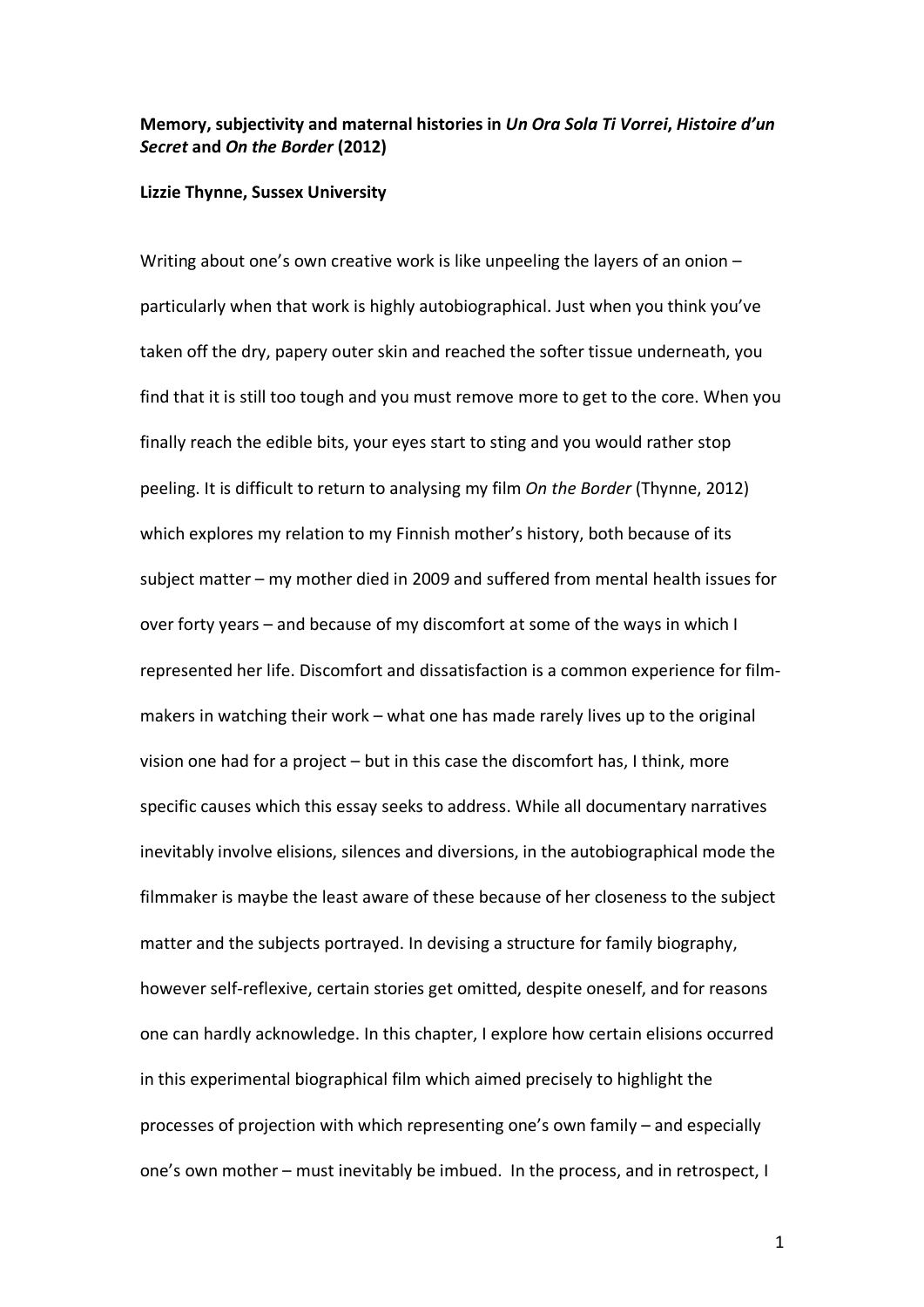## **Memory, subjectivity and maternal histories in** *Un Ora Sola Ti Vorrei***,** *Histoire d'un Secret* **and** *On the Border* **(2012)**

## **Lizzie Thynne, Sussex University**

Writing about one's own creative work is like unpeeling the layers of an onion – particularly when that work is highly autobiographical. Just when you think you've taken off the dry, papery outer skin and reached the softer tissue underneath, you find that it is still too tough and you must remove more to get to the core. When you finally reach the edible bits, your eyes start to sting and you would rather stop peeling. It is difficult to return to analysing my film *On the Border* (Thynne, 2012) which explores my relation to my Finnish mother's history, both because of its subject matter – my mother died in 2009 and suffered from mental health issues for over forty years – and because of my discomfort at some of the ways in which I represented her life. Discomfort and dissatisfaction is a common experience for filmmakers in watching their work – what one has made rarely lives up to the original vision one had for a project – but in this case the discomfort has, I think, more specific causes which this essay seeks to address. While all documentary narratives inevitably involve elisions, silences and diversions, in the autobiographical mode the filmmaker is maybe the least aware of these because of her closeness to the subject matter and the subjects portrayed. In devising a structure for family biography, however self-reflexive, certain stories get omitted, despite oneself, and for reasons one can hardly acknowledge. In this chapter, I explore how certain elisions occurred in this experimental biographical film which aimed precisely to highlight the processes of projection with which representing one's own family – and especially one's own mother – must inevitably be imbued. In the process, and in retrospect, I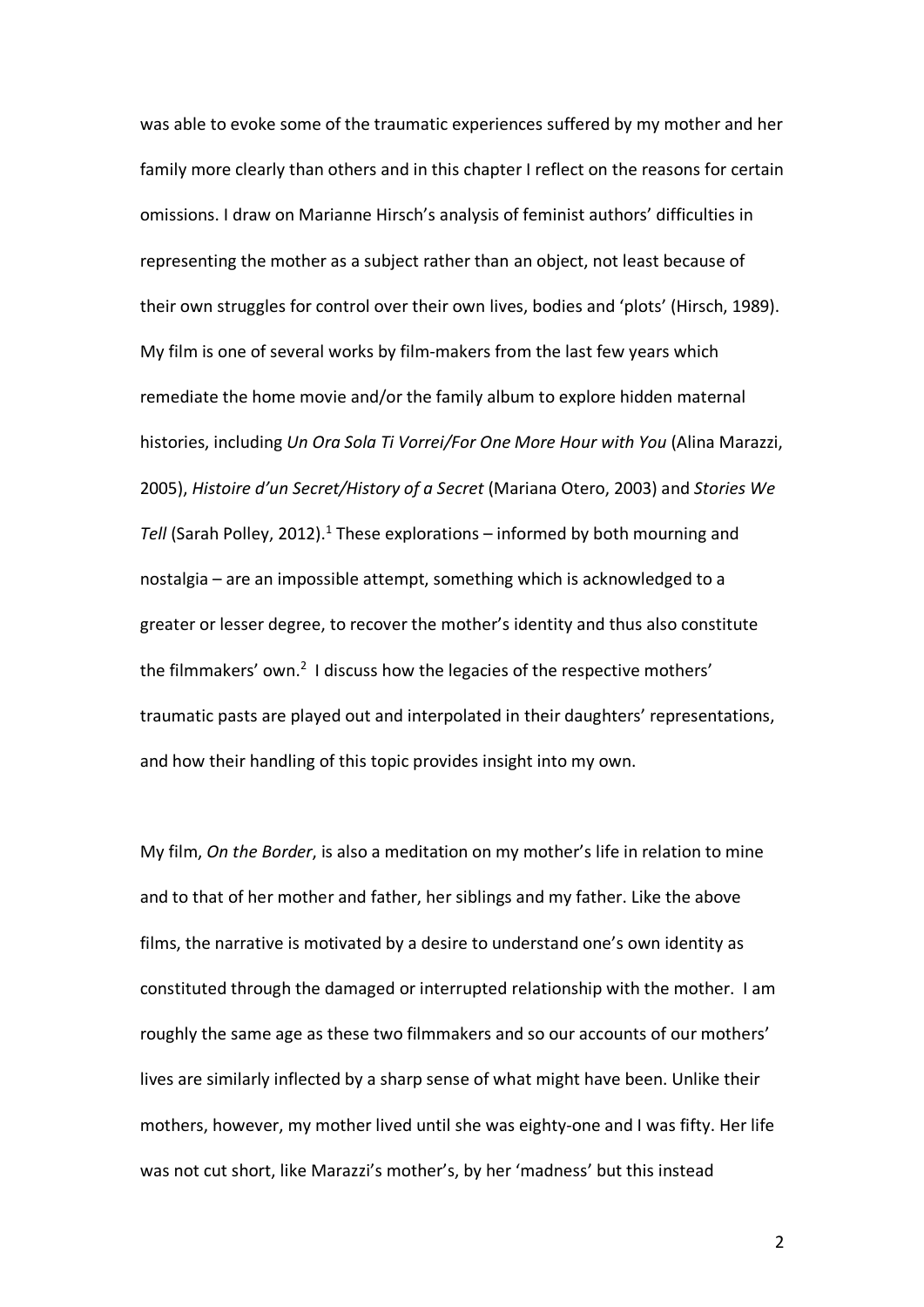was able to evoke some of the traumatic experiences suffered by my mother and her family more clearly than others and in this chapter I reflect on the reasons for certain omissions. I draw on Marianne Hirsch's analysis of feminist authors' difficulties in representing the mother as a subject rather than an object, not least because of their own struggles for control over their own lives, bodies and 'plots' (Hirsch, 1989). My film is one of several works by film-makers from the last few years which remediate the home movie and/or the family album to explore hidden maternal histories, including *Un Ora Sola Ti Vorrei/For One More Hour with You* (Alina Marazzi, 2005), *Histoire d'un Secret/History of a Secret* (Mariana Otero, 2003) and *Stories We*  Tell (Sarah Polley, 2012).<sup>1</sup> These explorations – informed by both mourning and nostalgia – are an impossible attempt, something which is acknowledged to a greater or lesser degree, to recover the mother's identity and thus also constitute the filmmakers' own.<sup>2</sup> I discuss how the legacies of the respective mothers' traumatic pasts are played out and interpolated in their daughters' representations, and how their handling of this topic provides insight into my own.

My film, *On the Border*, is also a meditation on my mother's life in relation to mine and to that of her mother and father, her siblings and my father. Like the above films, the narrative is motivated by a desire to understand one's own identity as constituted through the damaged or interrupted relationship with the mother. I am roughly the same age as these two filmmakers and so our accounts of our mothers' lives are similarly inflected by a sharp sense of what might have been. Unlike their mothers, however, my mother lived until she was eighty-one and I was fifty. Her life was not cut short, like Marazzi's mother's, by her 'madness' but this instead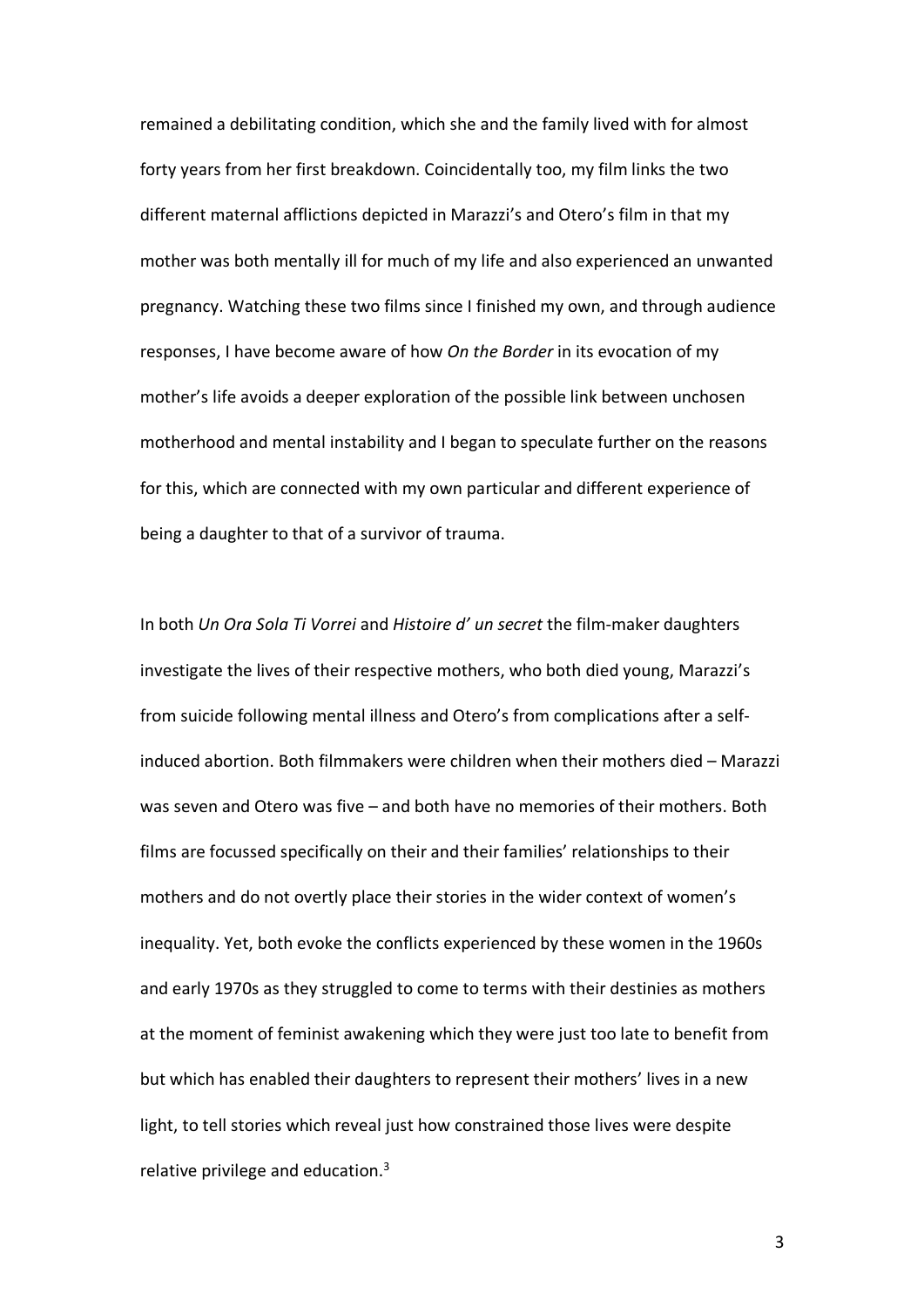remained a debilitating condition, which she and the family lived with for almost forty years from her first breakdown. Coincidentally too, my film links the two different maternal afflictions depicted in Marazzi's and Otero's film in that my mother was both mentally ill for much of my life and also experienced an unwanted pregnancy. Watching these two films since I finished my own, and through audience responses, I have become aware of how *On the Border* in its evocation of my mother's life avoids a deeper exploration of the possible link between unchosen motherhood and mental instability and I began to speculate further on the reasons for this, which are connected with my own particular and different experience of being a daughter to that of a survivor of trauma.

In both *Un Ora Sola Ti Vorrei* and *Histoire d' un secret* the film-maker daughters investigate the lives of their respective mothers, who both died young, Marazzi's from suicide following mental illness and Otero's from complications after a selfinduced abortion. Both filmmakers were children when their mothers died – Marazzi was seven and Otero was five – and both have no memories of their mothers. Both films are focussed specifically on their and their families' relationships to their mothers and do not overtly place their stories in the wider context of women's inequality. Yet, both evoke the conflicts experienced by these women in the 1960s and early 1970s as they struggled to come to terms with their destinies as mothers at the moment of feminist awakening which they were just too late to benefit from but which has enabled their daughters to represent their mothers' lives in a new light, to tell stories which reveal just how constrained those lives were despite relative privilege and education. $3$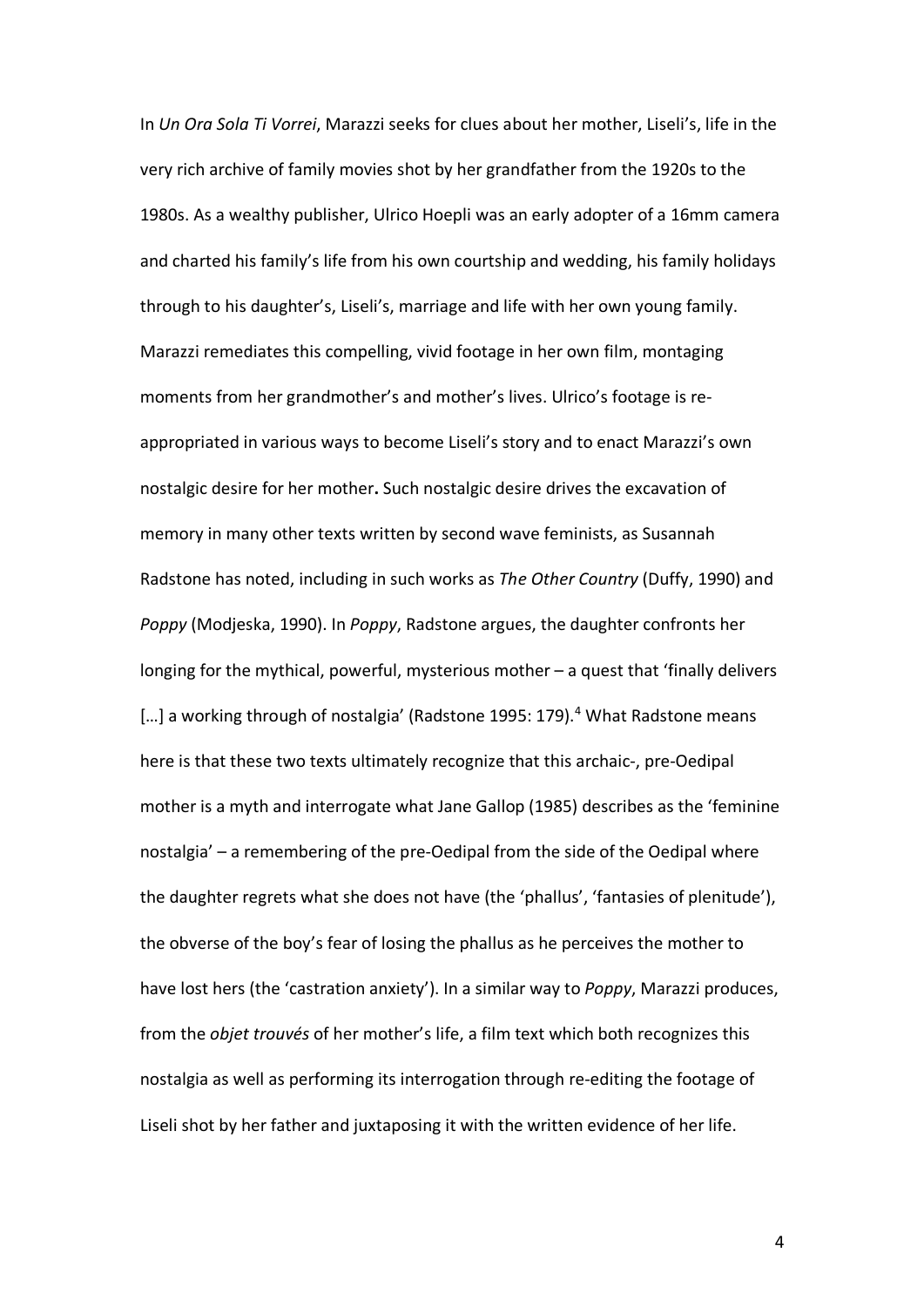In *Un Ora Sola Ti Vorrei*, Marazzi seeks for clues about her mother, Liseli's, life in the very rich archive of family movies shot by her grandfather from the 1920s to the 1980s. As a wealthy publisher, Ulrico Hoepli was an early adopter of a 16mm camera and charted his family's life from his own courtship and wedding, his family holidays through to his daughter's, Liseli's, marriage and life with her own young family. Marazzi remediates this compelling, vivid footage in her own film, montaging moments from her grandmother's and mother's lives. Ulrico's footage is reappropriated in various ways to become Liseli's story and to enact Marazzi's own nostalgic desire for her mother**.** Such nostalgic desire drives the excavation of memory in many other texts written by second wave feminists, as Susannah Radstone has noted, including in such works as *The Other Country* (Duffy, 1990) and *Poppy* (Modjeska, 1990). In *Poppy*, Radstone argues, the daughter confronts her longing for the mythical, powerful, mysterious mother – a quest that 'finally delivers [...] a working through of nostalgia' (Radstone 1995: 179).<sup>4</sup> What Radstone means here is that these two texts ultimately recognize that this archaic-, pre-Oedipal mother is a myth and interrogate what Jane Gallop (1985) describes as the 'feminine nostalgia' – a remembering of the pre-Oedipal from the side of the Oedipal where the daughter regrets what she does not have (the 'phallus', 'fantasies of plenitude'), the obverse of the boy's fear of losing the phallus as he perceives the mother to have lost hers (the 'castration anxiety'). In a similar way to *Poppy*, Marazzi produces, from the *objet trouvés* of her mother's life, a film text which both recognizes this nostalgia as well as performing its interrogation through re-editing the footage of Liseli shot by her father and juxtaposing it with the written evidence of her life.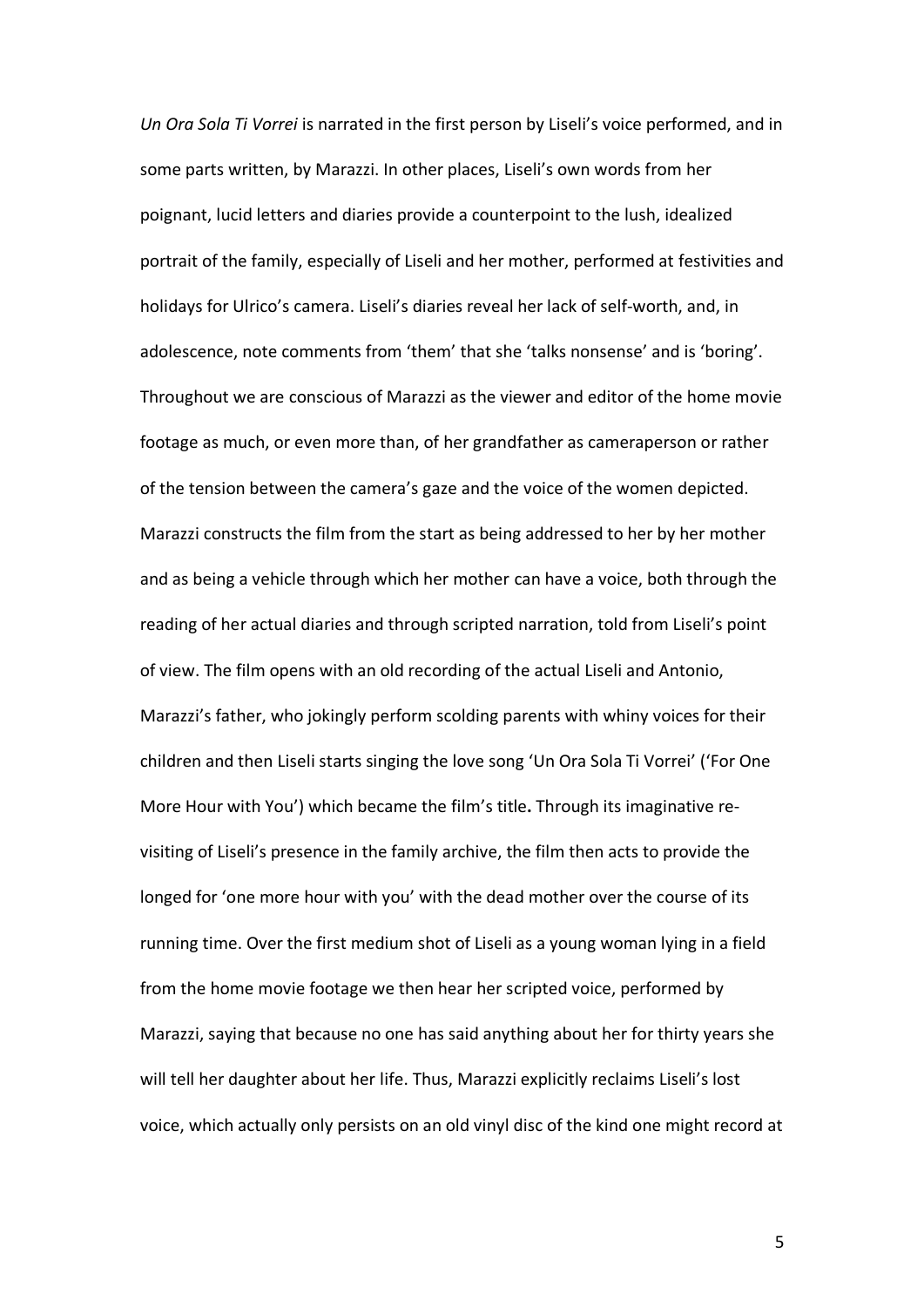*Un Ora Sola Ti Vorrei* is narrated in the first person by Liseli's voice performed, and in some parts written, by Marazzi. In other places, Liseli's own words from her poignant, lucid letters and diaries provide a counterpoint to the lush, idealized portrait of the family, especially of Liseli and her mother, performed at festivities and holidays for Ulrico's camera. Liseli's diaries reveal her lack of self-worth, and, in adolescence, note comments from 'them' that she 'talks nonsense' and is 'boring'. Throughout we are conscious of Marazzi as the viewer and editor of the home movie footage as much, or even more than, of her grandfather as cameraperson or rather of the tension between the camera's gaze and the voice of the women depicted. Marazzi constructs the film from the start as being addressed to her by her mother and as being a vehicle through which her mother can have a voice, both through the reading of her actual diaries and through scripted narration, told from Liseli's point of view. The film opens with an old recording of the actual Liseli and Antonio, Marazzi's father, who jokingly perform scolding parents with whiny voices for their children and then Liseli starts singing the love song 'Un Ora Sola Ti Vorrei' ('For One More Hour with You') which became the film's title**.** Through its imaginative revisiting of Liseli's presence in the family archive, the film then acts to provide the longed for 'one more hour with you' with the dead mother over the course of its running time. Over the first medium shot of Liseli as a young woman lying in a field from the home movie footage we then hear her scripted voice, performed by Marazzi, saying that because no one has said anything about her for thirty years she will tell her daughter about her life. Thus, Marazzi explicitly reclaims Liseli's lost voice, which actually only persists on an old vinyl disc of the kind one might record at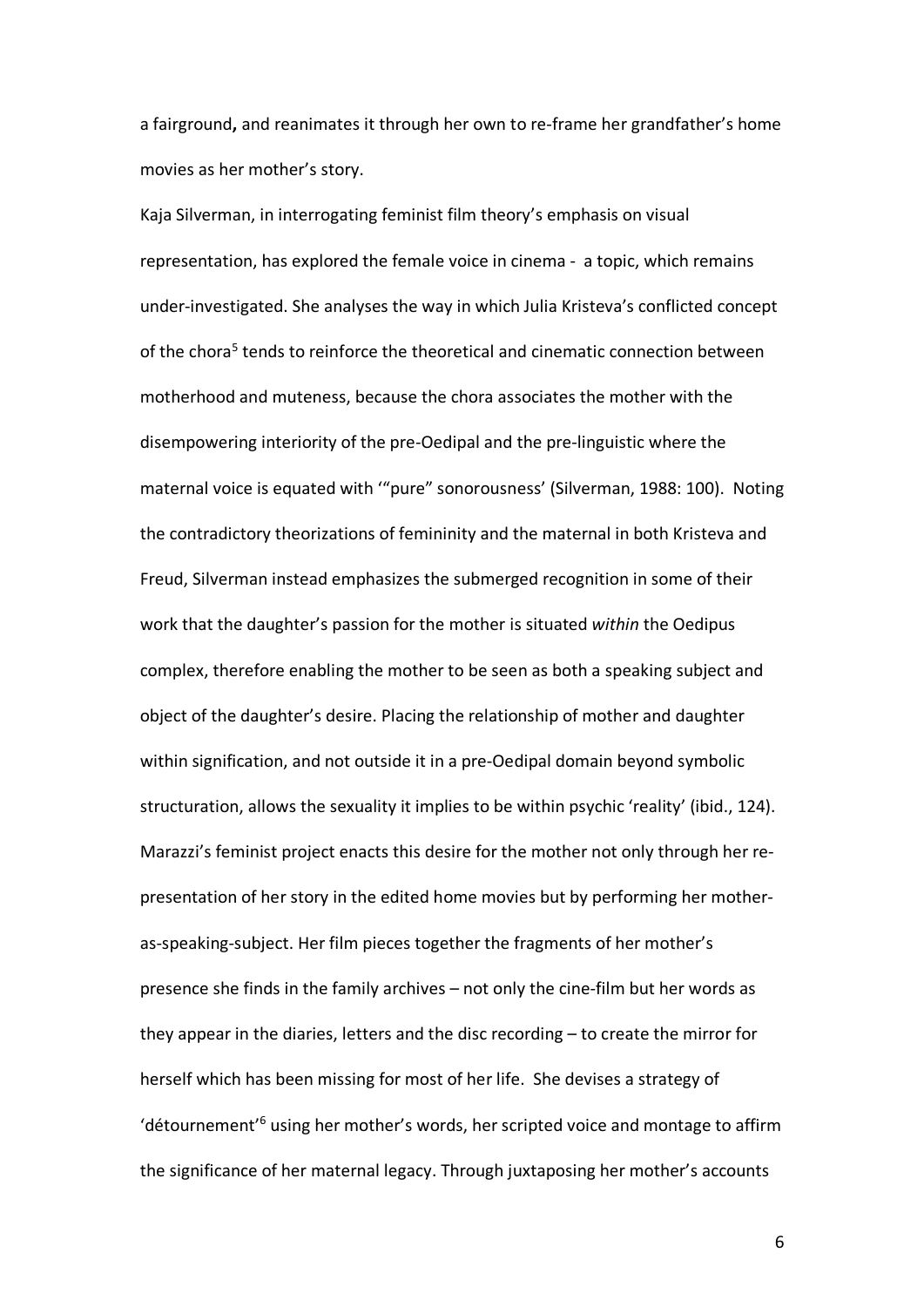a fairground**,** and reanimates it through her own to re-frame her grandfather's home movies as her mother's story.

Kaja Silverman, in interrogating feminist film theory's emphasis on visual representation, has explored the female voice in cinema - a topic, which remains under-investigated. She analyses the way in which Julia Kristeva's conflicted concept of the chora<sup>5</sup> tends to reinforce the theoretical and cinematic connection between motherhood and muteness, because the chora associates the mother with the disempowering interiority of the pre-Oedipal and the pre-linguistic where the maternal voice is equated with '"pure" sonorousness' (Silverman, 1988: 100). Noting the contradictory theorizations of femininity and the maternal in both Kristeva and Freud, Silverman instead emphasizes the submerged recognition in some of their work that the daughter's passion for the mother is situated *within* the Oedipus complex, therefore enabling the mother to be seen as both a speaking subject and object of the daughter's desire. Placing the relationship of mother and daughter within signification, and not outside it in a pre-Oedipal domain beyond symbolic structuration, allows the sexuality it implies to be within psychic 'reality' (ibid., 124). Marazzi's feminist project enacts this desire for the mother not only through her representation of her story in the edited home movies but by performing her motheras-speaking-subject. Her film pieces together the fragments of her mother's presence she finds in the family archives – not only the cine-film but her words as they appear in the diaries, letters and the disc recording – to create the mirror for herself which has been missing for most of her life. She devises a strategy of 'détournement<sup>'6</sup> using her mother's words, her scripted voice and montage to affirm the significance of her maternal legacy. Through juxtaposing her mother's accounts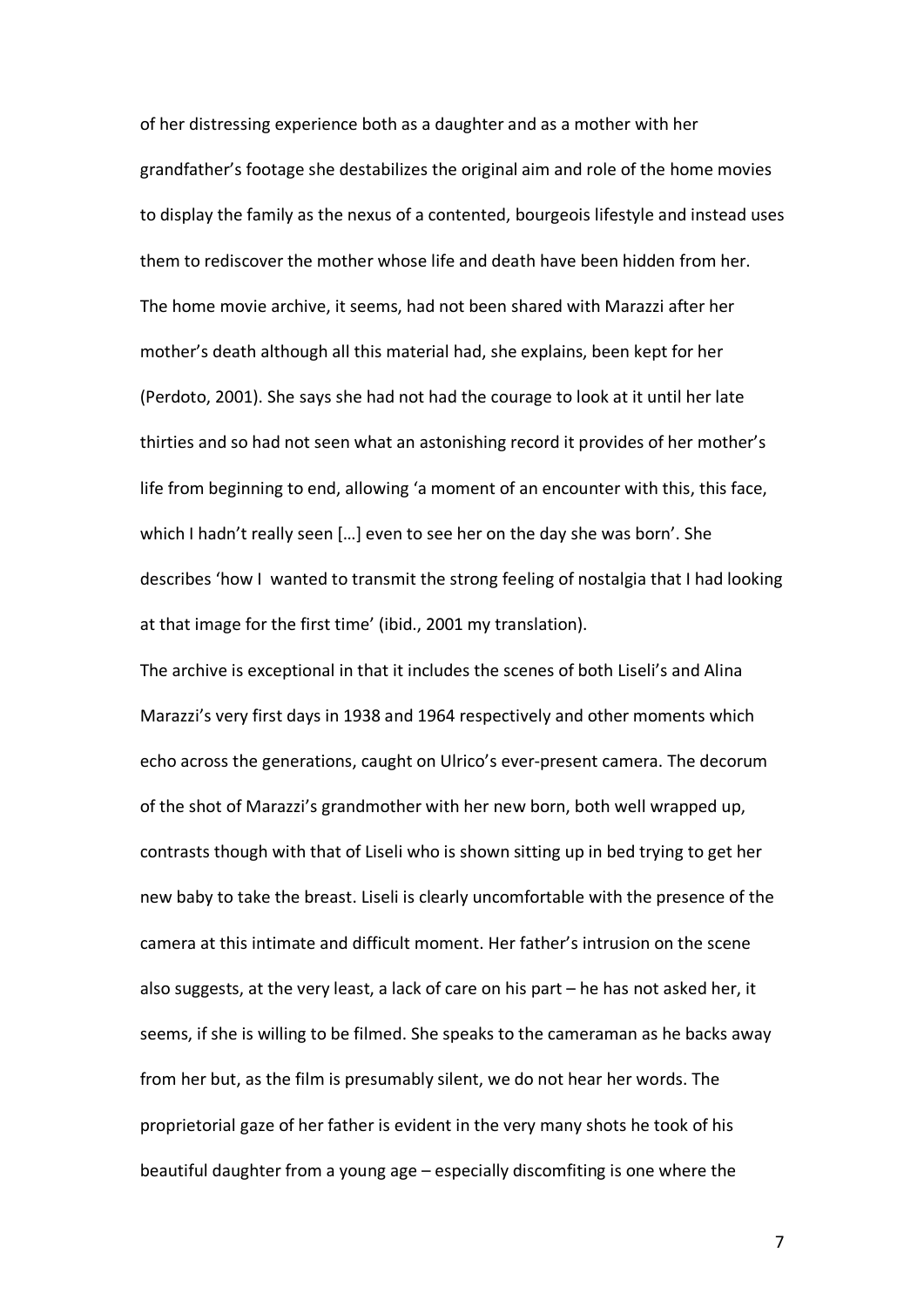of her distressing experience both as a daughter and as a mother with her grandfather's footage she destabilizes the original aim and role of the home movies to display the family as the nexus of a contented, bourgeois lifestyle and instead uses them to rediscover the mother whose life and death have been hidden from her. The home movie archive, it seems, had not been shared with Marazzi after her mother's death although all this material had, she explains, been kept for her (Perdoto, 2001). She says she had not had the courage to look at it until her late thirties and so had not seen what an astonishing record it provides of her mother's life from beginning to end, allowing 'a moment of an encounter with this, this face, which I hadn't really seen […] even to see her on the day she was born'. She describes 'how I wanted to transmit the strong feeling of nostalgia that I had looking at that image for the first time' (ibid., 2001 my translation).

The archive is exceptional in that it includes the scenes of both Liseli's and Alina Marazzi's very first days in 1938 and 1964 respectively and other moments which echo across the generations, caught on Ulrico's ever-present camera. The decorum of the shot of Marazzi's grandmother with her new born, both well wrapped up, contrasts though with that of Liseli who is shown sitting up in bed trying to get her new baby to take the breast. Liseli is clearly uncomfortable with the presence of the camera at this intimate and difficult moment. Her father's intrusion on the scene also suggests, at the very least, a lack of care on his part – he has not asked her, it seems, if she is willing to be filmed. She speaks to the cameraman as he backs away from her but, as the film is presumably silent, we do not hear her words. The proprietorial gaze of her father is evident in the very many shots he took of his beautiful daughter from a young age – especially discomfiting is one where the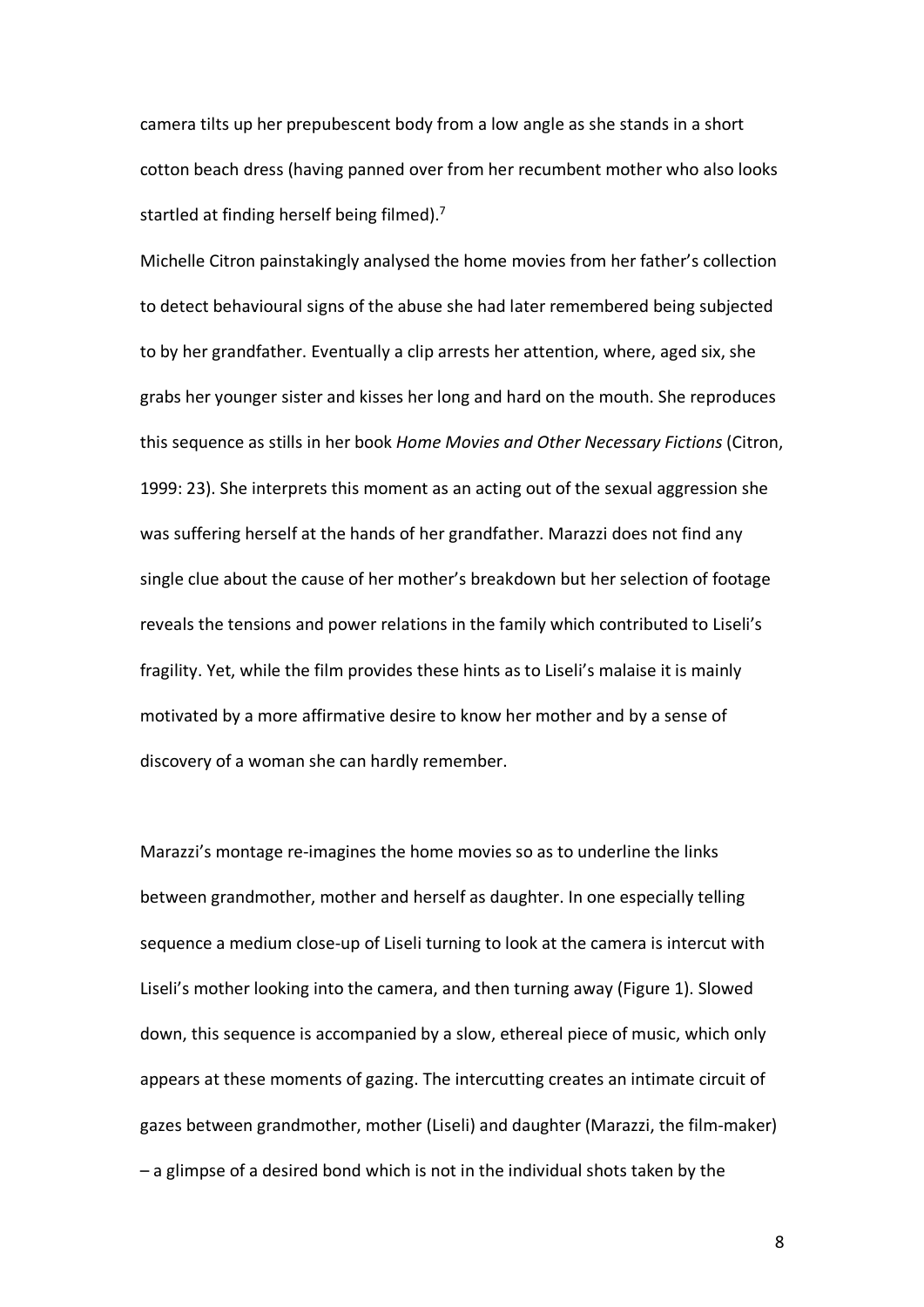camera tilts up her prepubescent body from a low angle as she stands in a short cotton beach dress (having panned over from her recumbent mother who also looks startled at finding herself being filmed). $<sup>7</sup>$ </sup>

Michelle Citron painstakingly analysed the home movies from her father's collection to detect behavioural signs of the abuse she had later remembered being subjected to by her grandfather. Eventually a clip arrests her attention, where, aged six, she grabs her younger sister and kisses her long and hard on the mouth. She reproduces this sequence as stills in her book *Home Movies and Other Necessary Fictions* (Citron, 1999: 23). She interprets this moment as an acting out of the sexual aggression she was suffering herself at the hands of her grandfather. Marazzi does not find any single clue about the cause of her mother's breakdown but her selection of footage reveals the tensions and power relations in the family which contributed to Liseli's fragility. Yet, while the film provides these hints as to Liseli's malaise it is mainly motivated by a more affirmative desire to know her mother and by a sense of discovery of a woman she can hardly remember.

Marazzi's montage re-imagines the home movies so as to underline the links between grandmother, mother and herself as daughter. In one especially telling sequence a medium close-up of Liseli turning to look at the camera is intercut with Liseli's mother looking into the camera, and then turning away (Figure 1). Slowed down, this sequence is accompanied by a slow, ethereal piece of music, which only appears at these moments of gazing. The intercutting creates an intimate circuit of gazes between grandmother, mother (Liseli) and daughter (Marazzi, the film-maker) – a glimpse of a desired bond which is not in the individual shots taken by the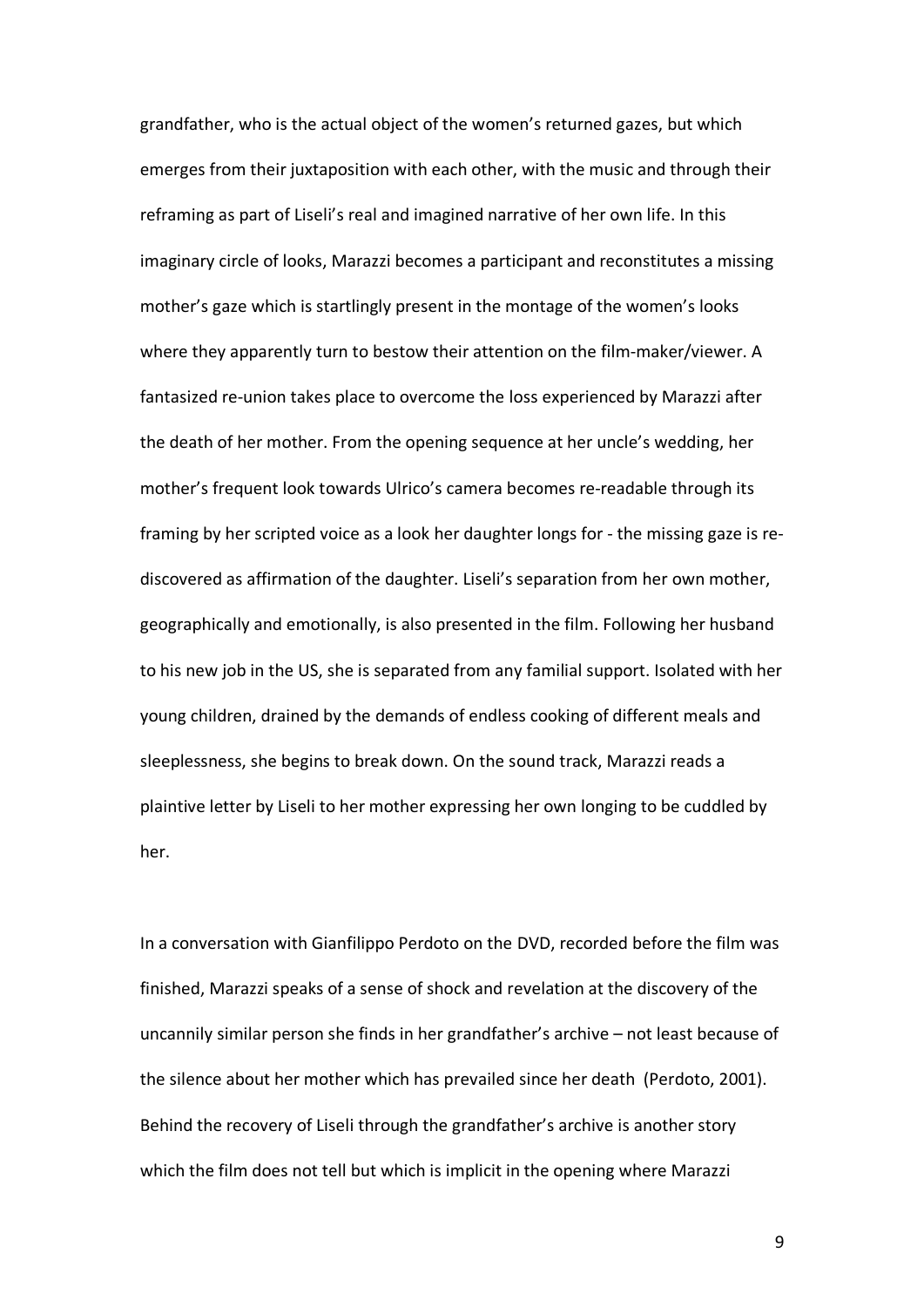grandfather, who is the actual object of the women's returned gazes, but which emerges from their juxtaposition with each other, with the music and through their reframing as part of Liseli's real and imagined narrative of her own life. In this imaginary circle of looks, Marazzi becomes a participant and reconstitutes a missing mother's gaze which is startlingly present in the montage of the women's looks where they apparently turn to bestow their attention on the film-maker/viewer. A fantasized re-union takes place to overcome the loss experienced by Marazzi after the death of her mother. From the opening sequence at her uncle's wedding, her mother's frequent look towards Ulrico's camera becomes re-readable through its framing by her scripted voice as a look her daughter longs for - the missing gaze is rediscovered as affirmation of the daughter. Liseli's separation from her own mother, geographically and emotionally, is also presented in the film. Following her husband to his new job in the US, she is separated from any familial support. Isolated with her young children, drained by the demands of endless cooking of different meals and sleeplessness, she begins to break down. On the sound track, Marazzi reads a plaintive letter by Liseli to her mother expressing her own longing to be cuddled by her.

In a conversation with Gianfilippo Perdoto on the DVD, recorded before the film was finished, Marazzi speaks of a sense of shock and revelation at the discovery of the uncannily similar person she finds in her grandfather's archive – not least because of the silence about her mother which has prevailed since her death (Perdoto, 2001). Behind the recovery of Liseli through the grandfather's archive is another story which the film does not tell but which is implicit in the opening where Marazzi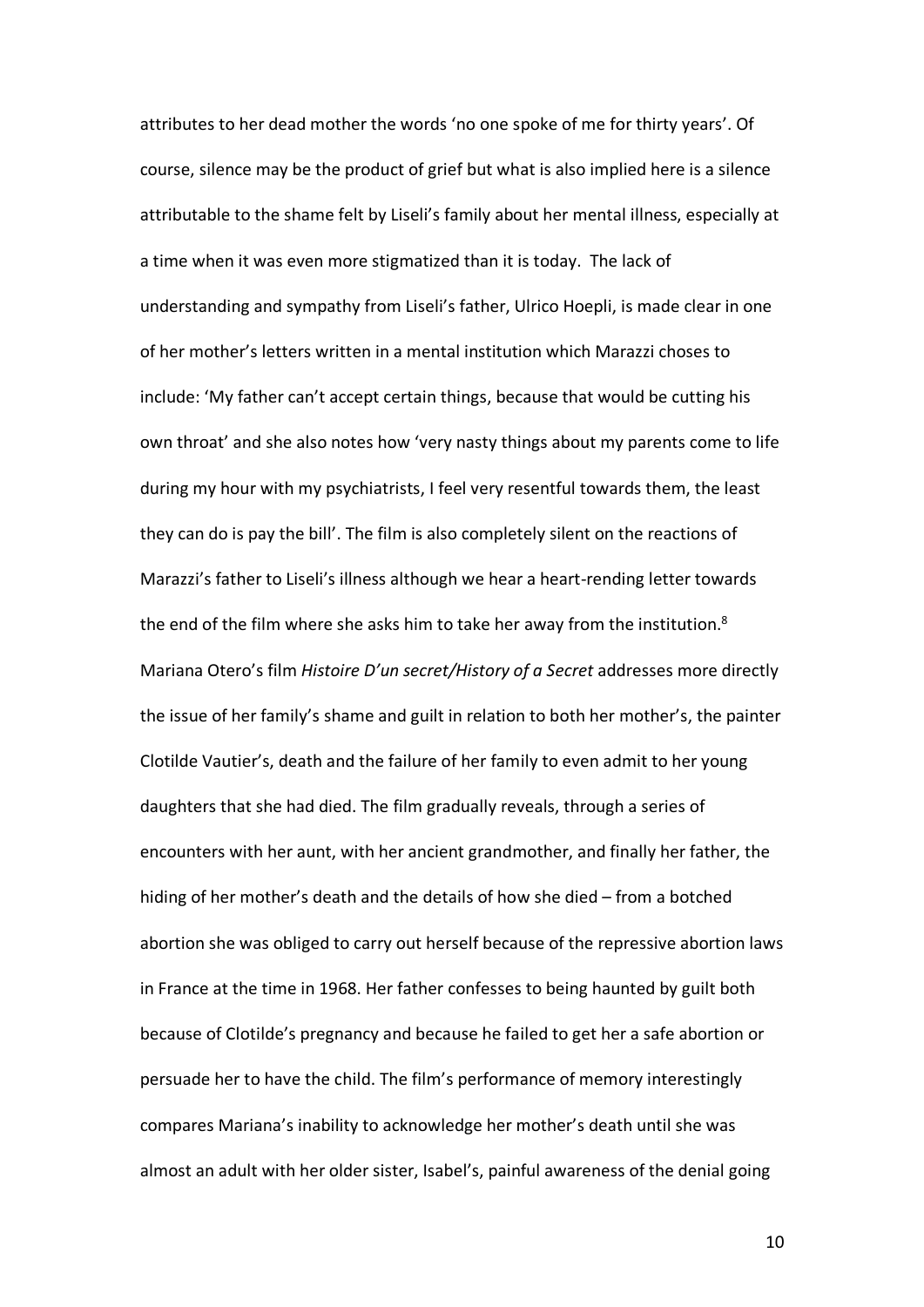attributes to her dead mother the words 'no one spoke of me for thirty years'. Of course, silence may be the product of grief but what is also implied here is a silence attributable to the shame felt by Liseli's family about her mental illness, especially at a time when it was even more stigmatized than it is today. The lack of understanding and sympathy from Liseli's father, Ulrico Hoepli, is made clear in one of her mother's letters written in a mental institution which Marazzi choses to include: 'My father can't accept certain things, because that would be cutting his own throat' and she also notes how 'very nasty things about my parents come to life during my hour with my psychiatrists, I feel very resentful towards them, the least they can do is pay the bill'. The film is also completely silent on the reactions of Marazzi's father to Liseli's illness although we hear a heart-rending letter towards the end of the film where she asks him to take her away from the institution.<sup>8</sup> Mariana Otero's film *Histoire D'un secret/History of a Secret* addresses more directly the issue of her family's shame and guilt in relation to both her mother's, the painter Clotilde Vautier's, death and the failure of her family to even admit to her young daughters that she had died. The film gradually reveals, through a series of encounters with her aunt, with her ancient grandmother, and finally her father, the hiding of her mother's death and the details of how she died – from a botched abortion she was obliged to carry out herself because of the repressive abortion laws in France at the time in 1968. Her father confesses to being haunted by guilt both because of Clotilde's pregnancy and because he failed to get her a safe abortion or persuade her to have the child. The film's performance of memory interestingly compares Mariana's inability to acknowledge her mother's death until she was almost an adult with her older sister, Isabel's, painful awareness of the denial going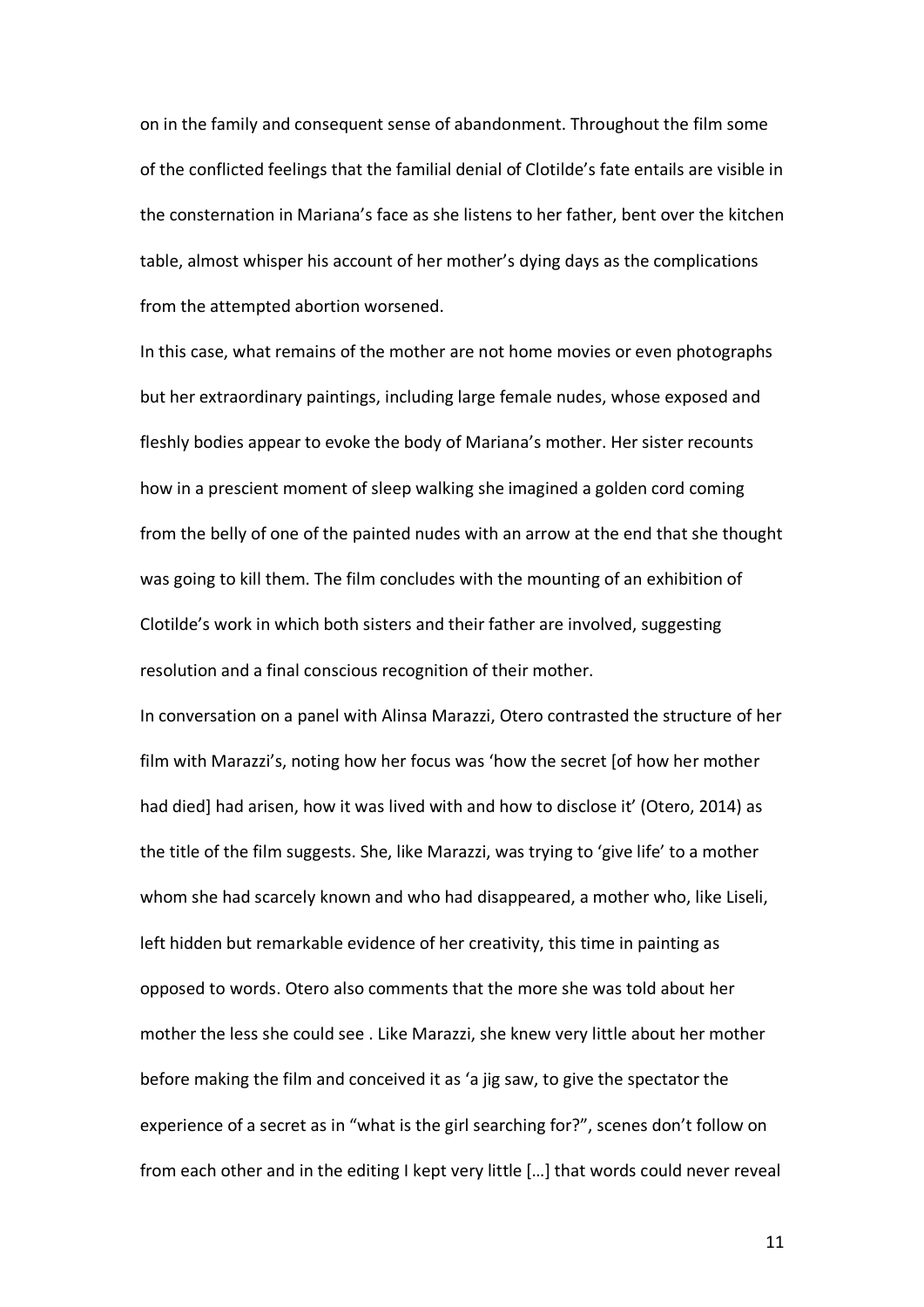on in the family and consequent sense of abandonment. Throughout the film some of the conflicted feelings that the familial denial of Clotilde's fate entails are visible in the consternation in Mariana's face as she listens to her father, bent over the kitchen table, almost whisper his account of her mother's dying days as the complications from the attempted abortion worsened.

In this case, what remains of the mother are not home movies or even photographs but her extraordinary paintings, including large female nudes, whose exposed and fleshly bodies appear to evoke the body of Mariana's mother. Her sister recounts how in a prescient moment of sleep walking she imagined a golden cord coming from the belly of one of the painted nudes with an arrow at the end that she thought was going to kill them. The film concludes with the mounting of an exhibition of Clotilde's work in which both sisters and their father are involved, suggesting resolution and a final conscious recognition of their mother.

In conversation on a panel with Alinsa Marazzi, Otero contrasted the structure of her film with Marazzi's, noting how her focus was 'how the secret [of how her mother had died] had arisen, how it was lived with and how to disclose it' (Otero, 2014) as the title of the film suggests. She, like Marazzi, was trying to 'give life' to a mother whom she had scarcely known and who had disappeared, a mother who, like Liseli, left hidden but remarkable evidence of her creativity, this time in painting as opposed to words. Otero also comments that the more she was told about her mother the less she could see . Like Marazzi, she knew very little about her mother before making the film and conceived it as 'a jig saw, to give the spectator the experience of a secret as in "what is the girl searching for?", scenes don't follow on from each other and in the editing I kept very little […] that words could never reveal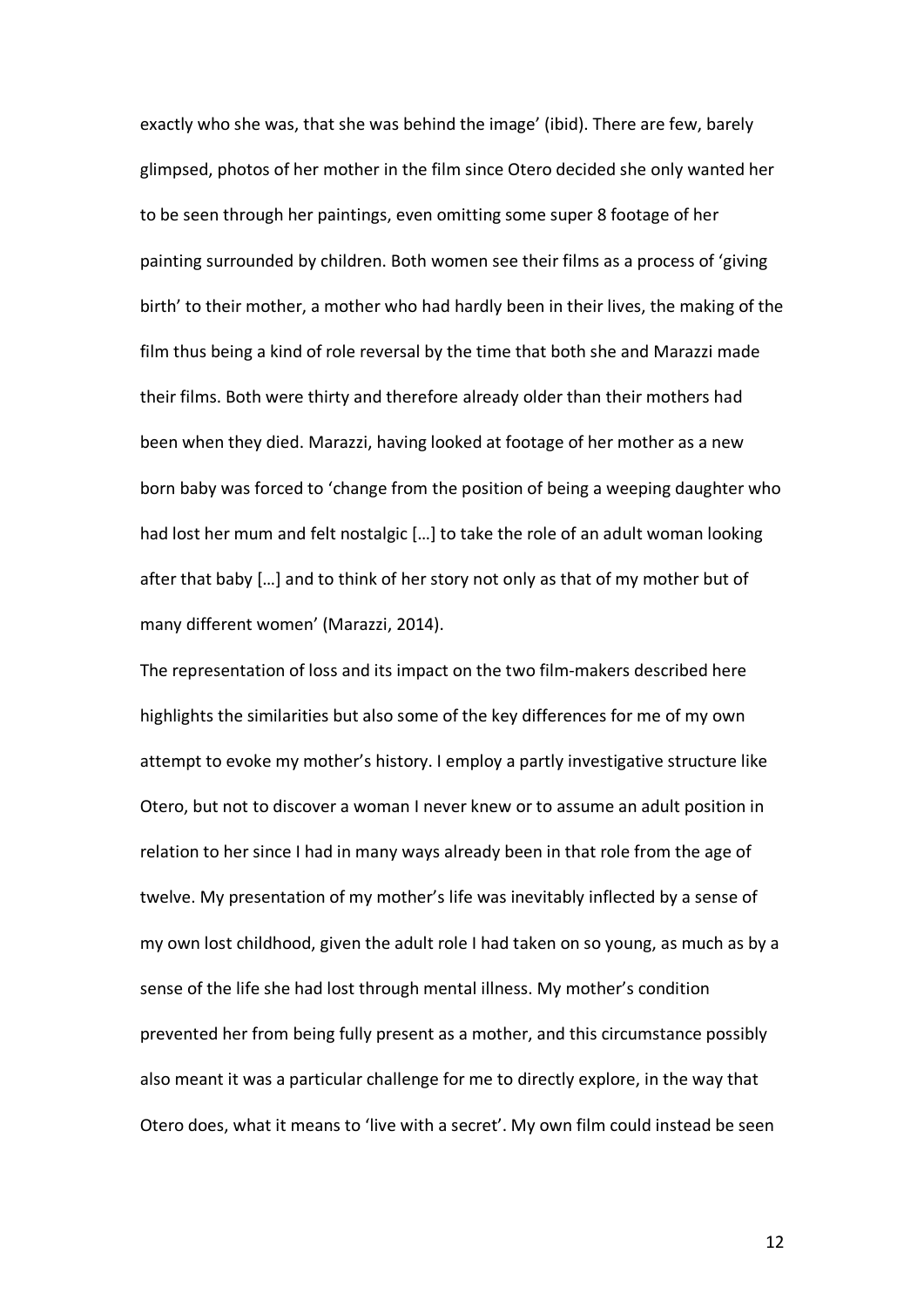exactly who she was, that she was behind the image' (ibid). There are few, barely glimpsed, photos of her mother in the film since Otero decided she only wanted her to be seen through her paintings, even omitting some super 8 footage of her painting surrounded by children. Both women see their films as a process of 'giving birth' to their mother, a mother who had hardly been in their lives, the making of the film thus being a kind of role reversal by the time that both she and Marazzi made their films. Both were thirty and therefore already older than their mothers had been when they died. Marazzi, having looked at footage of her mother as a new born baby was forced to 'change from the position of being a weeping daughter who had lost her mum and felt nostalgic […] to take the role of an adult woman looking after that baby […] and to think of her story not only as that of my mother but of many different women' (Marazzi, 2014).

The representation of loss and its impact on the two film-makers described here highlights the similarities but also some of the key differences for me of my own attempt to evoke my mother's history. I employ a partly investigative structure like Otero, but not to discover a woman I never knew or to assume an adult position in relation to her since I had in many ways already been in that role from the age of twelve. My presentation of my mother's life was inevitably inflected by a sense of my own lost childhood, given the adult role I had taken on so young, as much as by a sense of the life she had lost through mental illness. My mother's condition prevented her from being fully present as a mother, and this circumstance possibly also meant it was a particular challenge for me to directly explore, in the way that Otero does, what it means to 'live with a secret'. My own film could instead be seen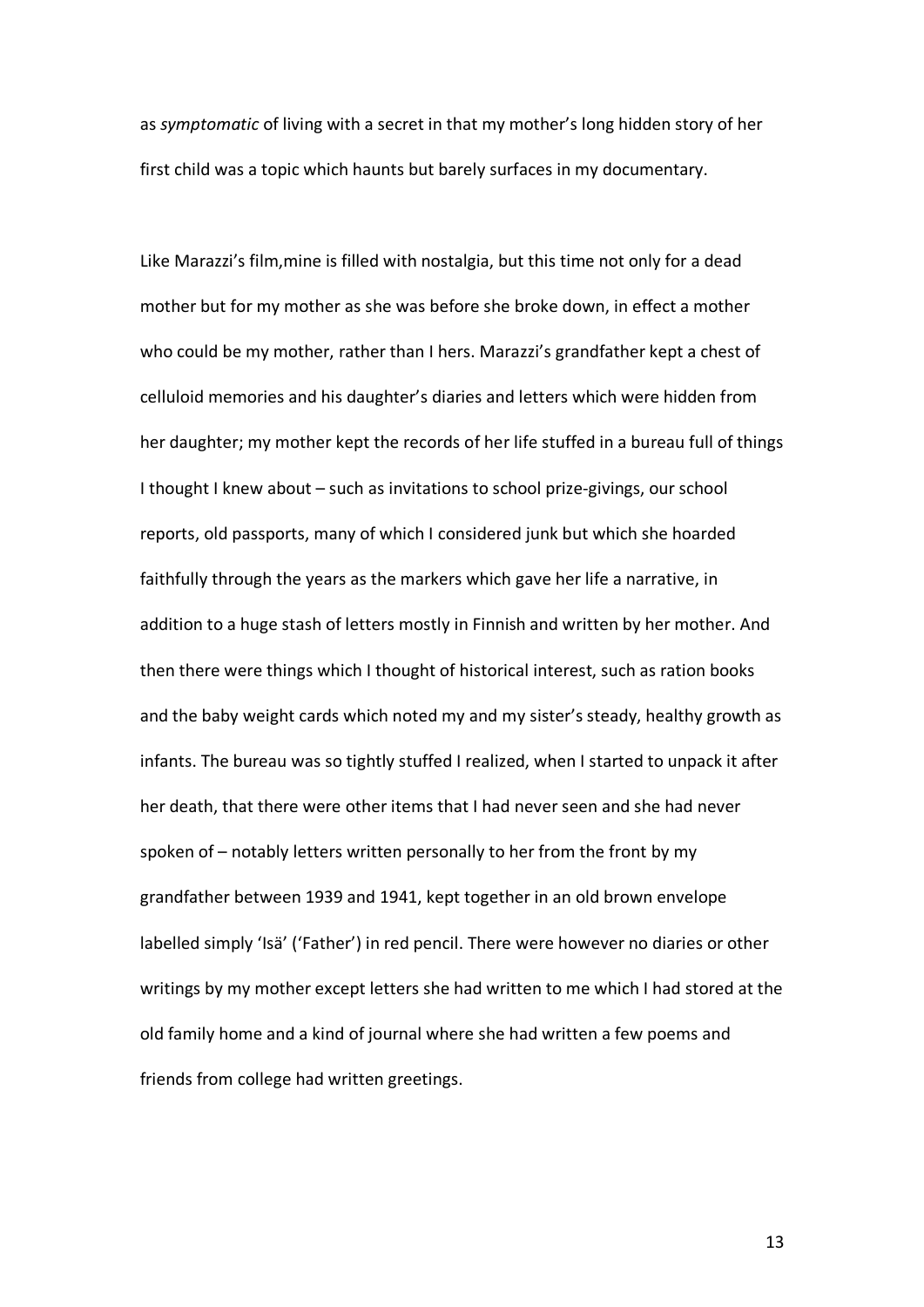as *symptomatic* of living with a secret in that my mother's long hidden story of her first child was a topic which haunts but barely surfaces in my documentary.

Like Marazzi's film,mine is filled with nostalgia, but this time not only for a dead mother but for my mother as she was before she broke down, in effect a mother who could be my mother, rather than I hers. Marazzi's grandfather kept a chest of celluloid memories and his daughter's diaries and letters which were hidden from her daughter; my mother kept the records of her life stuffed in a bureau full of things I thought I knew about – such as invitations to school prize-givings, our school reports, old passports, many of which I considered junk but which she hoarded faithfully through the years as the markers which gave her life a narrative, in addition to a huge stash of letters mostly in Finnish and written by her mother. And then there were things which I thought of historical interest, such as ration books and the baby weight cards which noted my and my sister's steady, healthy growth as infants. The bureau was so tightly stuffed I realized, when I started to unpack it after her death, that there were other items that I had never seen and she had never spoken of – notably letters written personally to her from the front by my grandfather between 1939 and 1941, kept together in an old brown envelope labelled simply 'Isä' ('Father') in red pencil. There were however no diaries or other writings by my mother except letters she had written to me which I had stored at the old family home and a kind of journal where she had written a few poems and friends from college had written greetings.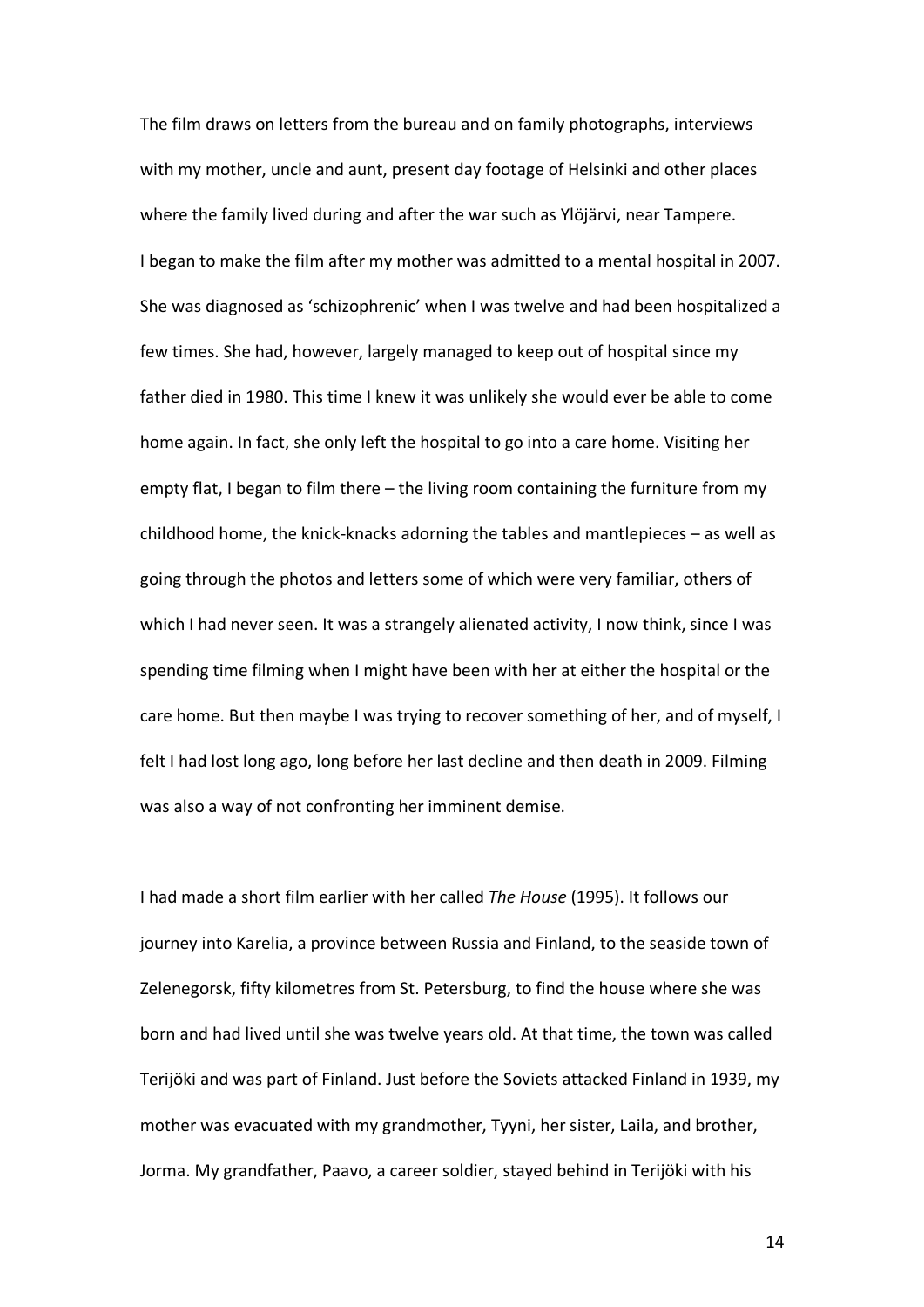The film draws on letters from the bureau and on family photographs, interviews with my mother, uncle and aunt, present day footage of Helsinki and other places where the family lived during and after the war such as Ylöjärvi, near Tampere. I began to make the film after my mother was admitted to a mental hospital in 2007. She was diagnosed as 'schizophrenic' when I was twelve and had been hospitalized a few times. She had, however, largely managed to keep out of hospital since my father died in 1980. This time I knew it was unlikely she would ever be able to come home again. In fact, she only left the hospital to go into a care home. Visiting her empty flat, I began to film there – the living room containing the furniture from my childhood home, the knick-knacks adorning the tables and mantlepieces – as well as going through the photos and letters some of which were very familiar, others of which I had never seen. It was a strangely alienated activity, I now think, since I was spending time filming when I might have been with her at either the hospital or the care home. But then maybe I was trying to recover something of her, and of myself, I felt I had lost long ago, long before her last decline and then death in 2009. Filming was also a way of not confronting her imminent demise.

I had made a short film earlier with her called *The House* (1995). It follows our journey into Karelia, a province between Russia and Finland, to the seaside town of Zelenegorsk, fifty kilometres from St. Petersburg, to find the house where she was born and had lived until she was twelve years old. At that time, the town was called Terijöki and was part of Finland. Just before the Soviets attacked Finland in 1939, my mother was evacuated with my grandmother, Tyyni, her sister, Laila, and brother, Jorma. My grandfather, Paavo, a career soldier, stayed behind in Terijöki with his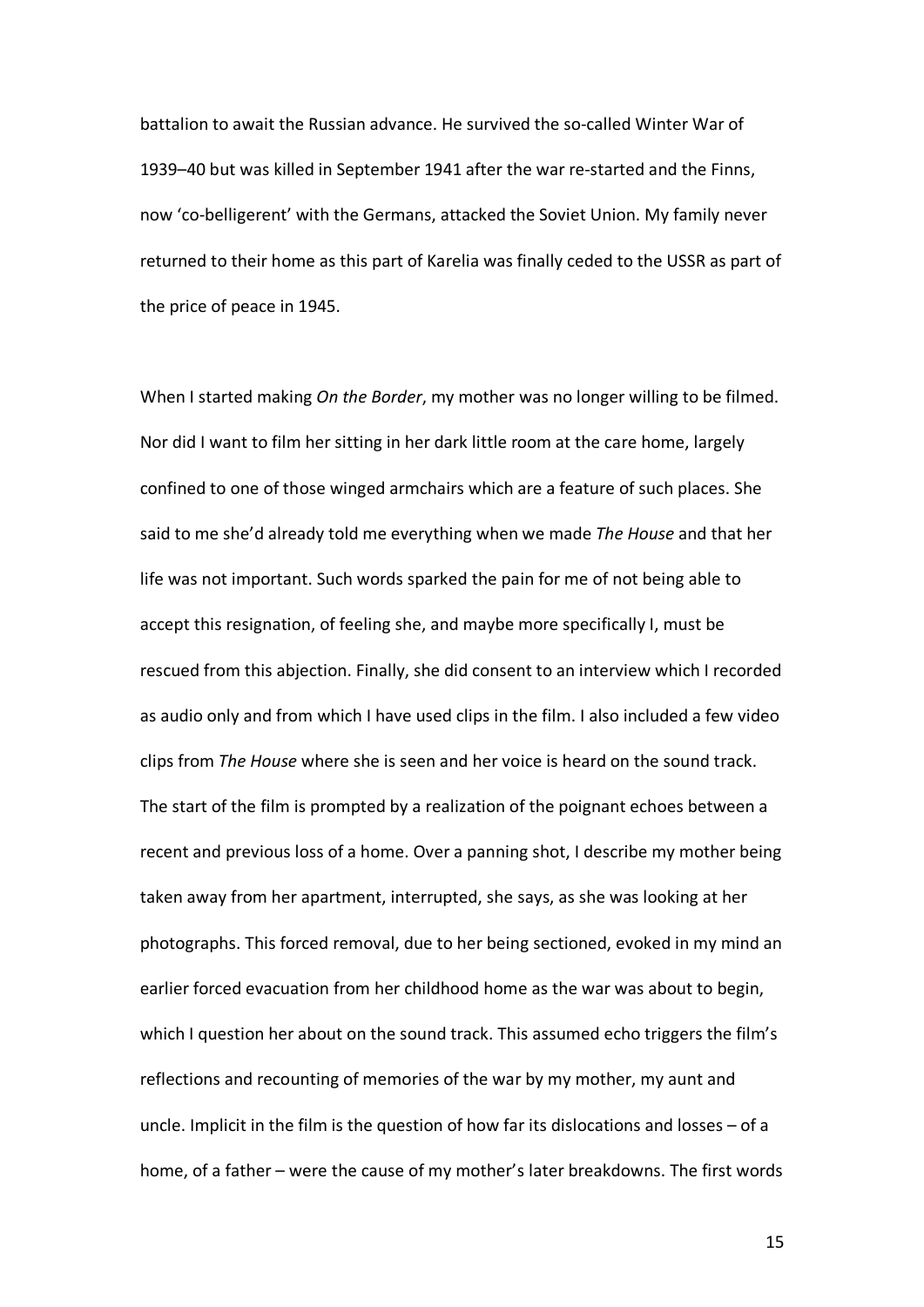battalion to await the Russian advance. He survived the so-called Winter War of 1939–40 but was killed in September 1941 after the war re-started and the Finns, now 'co-belligerent' with the Germans, attacked the Soviet Union. My family never returned to their home as this part of Karelia was finally ceded to the USSR as part of the price of peace in 1945.

When I started making *On the Border*, my mother was no longer willing to be filmed. Nor did I want to film her sitting in her dark little room at the care home, largely confined to one of those winged armchairs which are a feature of such places. She said to me she'd already told me everything when we made *The House* and that her life was not important. Such words sparked the pain for me of not being able to accept this resignation, of feeling she, and maybe more specifically I, must be rescued from this abjection. Finally, she did consent to an interview which I recorded as audio only and from which I have used clips in the film. I also included a few video clips from *The House* where she is seen and her voice is heard on the sound track. The start of the film is prompted by a realization of the poignant echoes between a recent and previous loss of a home. Over a panning shot, I describe my mother being taken away from her apartment, interrupted, she says, as she was looking at her photographs. This forced removal, due to her being sectioned, evoked in my mind an earlier forced evacuation from her childhood home as the war was about to begin, which I question her about on the sound track. This assumed echo triggers the film's reflections and recounting of memories of the war by my mother, my aunt and uncle. Implicit in the film is the question of how far its dislocations and losses – of a home, of a father – were the cause of my mother's later breakdowns. The first words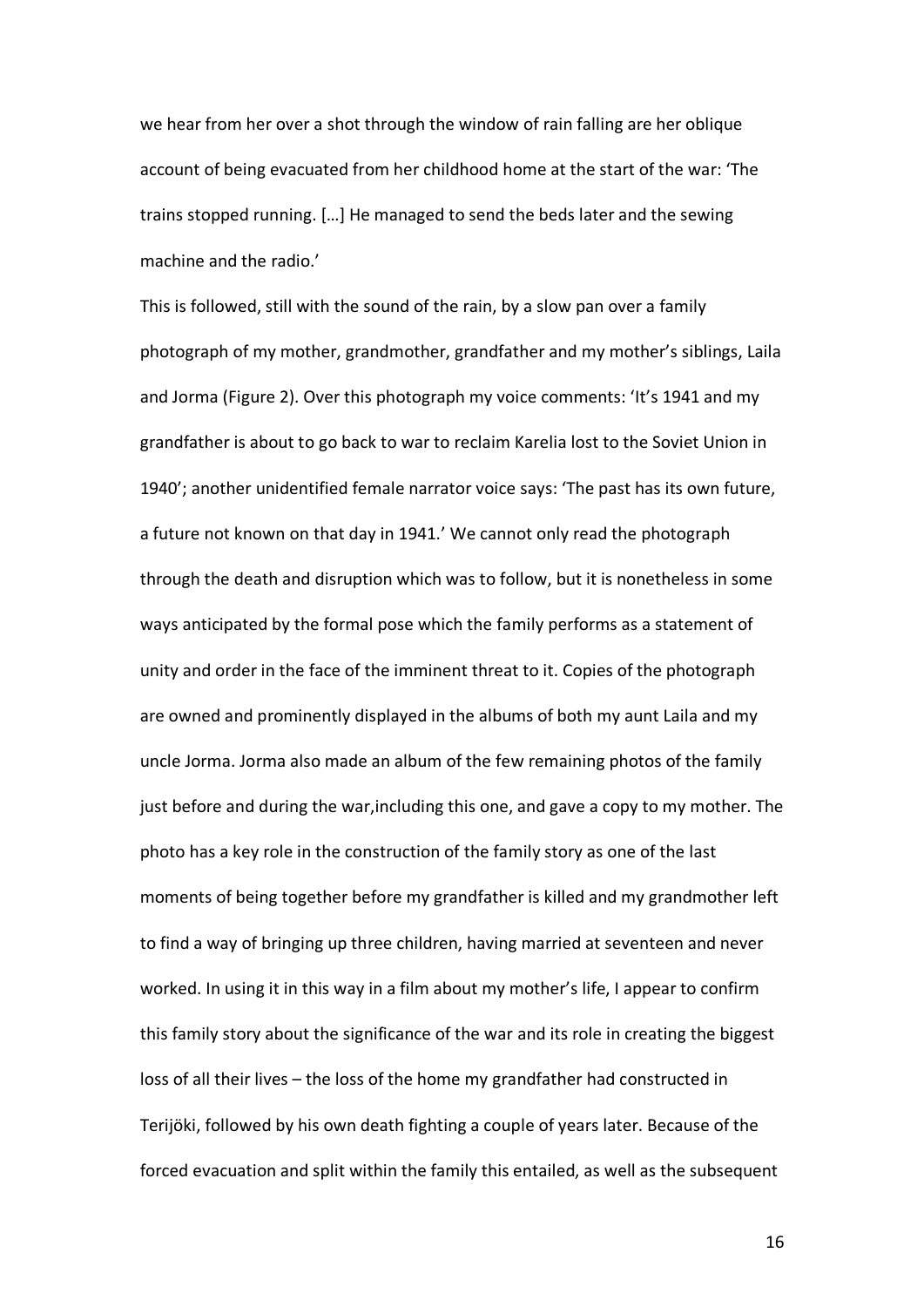we hear from her over a shot through the window of rain falling are her oblique account of being evacuated from her childhood home at the start of the war: 'The trains stopped running. […] He managed to send the beds later and the sewing machine and the radio.'

This is followed, still with the sound of the rain, by a slow pan over a family photograph of my mother, grandmother, grandfather and my mother's siblings, Laila and Jorma (Figure 2). Over this photograph my voice comments: 'It's 1941 and my grandfather is about to go back to war to reclaim Karelia lost to the Soviet Union in 1940'; another unidentified female narrator voice says: 'The past has its own future, a future not known on that day in 1941.' We cannot only read the photograph through the death and disruption which was to follow, but it is nonetheless in some ways anticipated by the formal pose which the family performs as a statement of unity and order in the face of the imminent threat to it. Copies of the photograph are owned and prominently displayed in the albums of both my aunt Laila and my uncle Jorma. Jorma also made an album of the few remaining photos of the family just before and during the war,including this one, and gave a copy to my mother. The photo has a key role in the construction of the family story as one of the last moments of being together before my grandfather is killed and my grandmother left to find a way of bringing up three children, having married at seventeen and never worked. In using it in this way in a film about my mother's life, I appear to confirm this family story about the significance of the war and its role in creating the biggest loss of all their lives – the loss of the home my grandfather had constructed in Terijöki, followed by his own death fighting a couple of years later. Because of the forced evacuation and split within the family this entailed, as well as the subsequent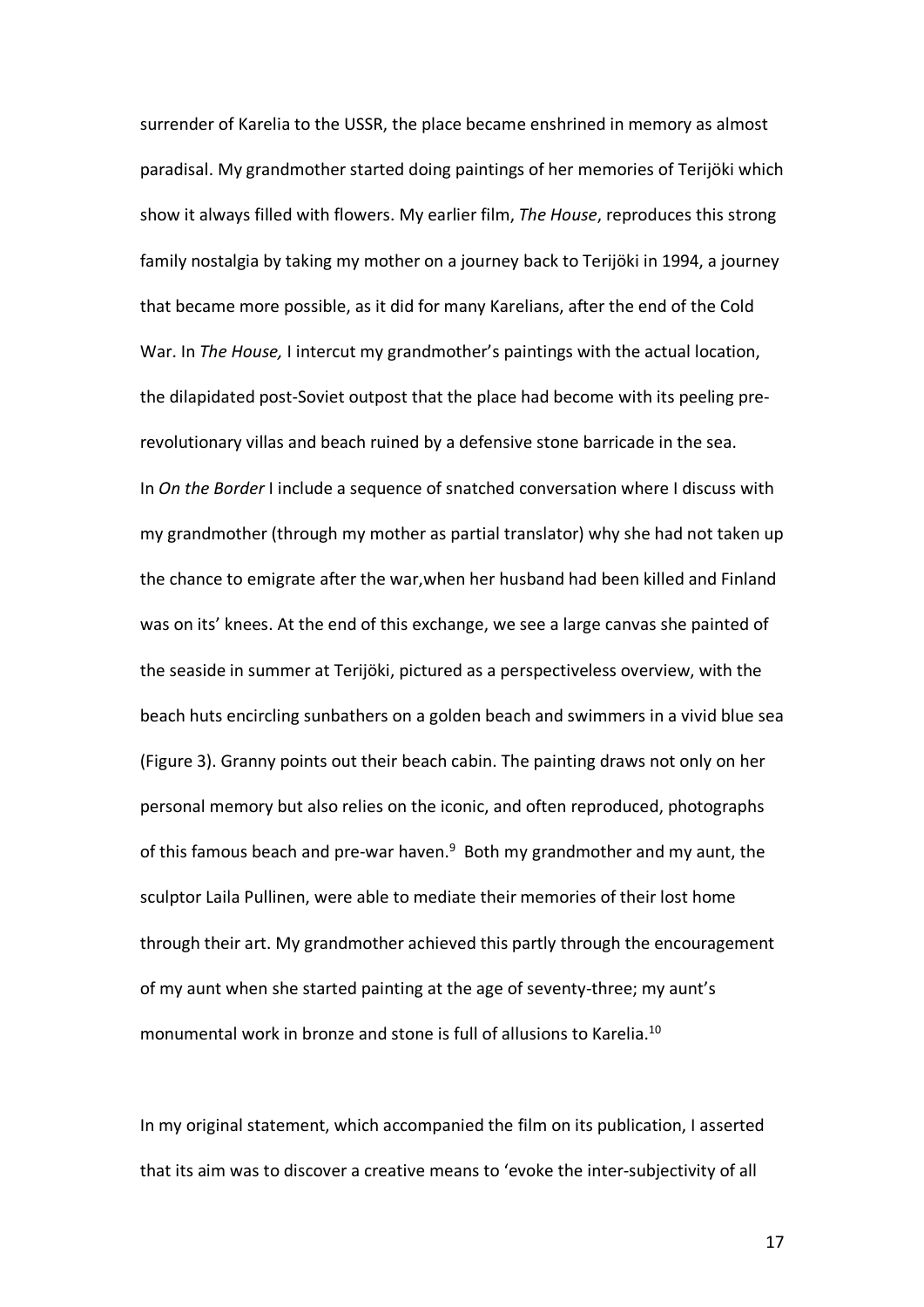surrender of Karelia to the USSR, the place became enshrined in memory as almost paradisal. My grandmother started doing paintings of her memories of Terijöki which show it always filled with flowers. My earlier film, *The House*, reproduces this strong family nostalgia by taking my mother on a journey back to Terijöki in 1994, a journey that became more possible, as it did for many Karelians, after the end of the Cold War. In *The House,* I intercut my grandmother's paintings with the actual location, the dilapidated post-Soviet outpost that the place had become with its peeling prerevolutionary villas and beach ruined by a defensive stone barricade in the sea. In *On the Border* I include a sequence of snatched conversation where I discuss with my grandmother (through my mother as partial translator) why she had not taken up the chance to emigrate after the war,when her husband had been killed and Finland was on its' knees. At the end of this exchange, we see a large canvas she painted of the seaside in summer at Terijöki, pictured as a perspectiveless overview, with the beach huts encircling sunbathers on a golden beach and swimmers in a vivid blue sea (Figure 3). Granny points out their beach cabin. The painting draws not only on her personal memory but also relies on the iconic, and often reproduced, photographs of this famous beach and pre-war haven.<sup>9</sup> Both my grandmother and my aunt, the sculptor Laila Pullinen, were able to mediate their memories of their lost home through their art. My grandmother achieved this partly through the encouragement of my aunt when she started painting at the age of seventy-three; my aunt's monumental work in bronze and stone is full of allusions to Karelia.10

In my original statement, which accompanied the film on its publication, I asserted that its aim was to discover a creative means to 'evoke the inter-subjectivity of all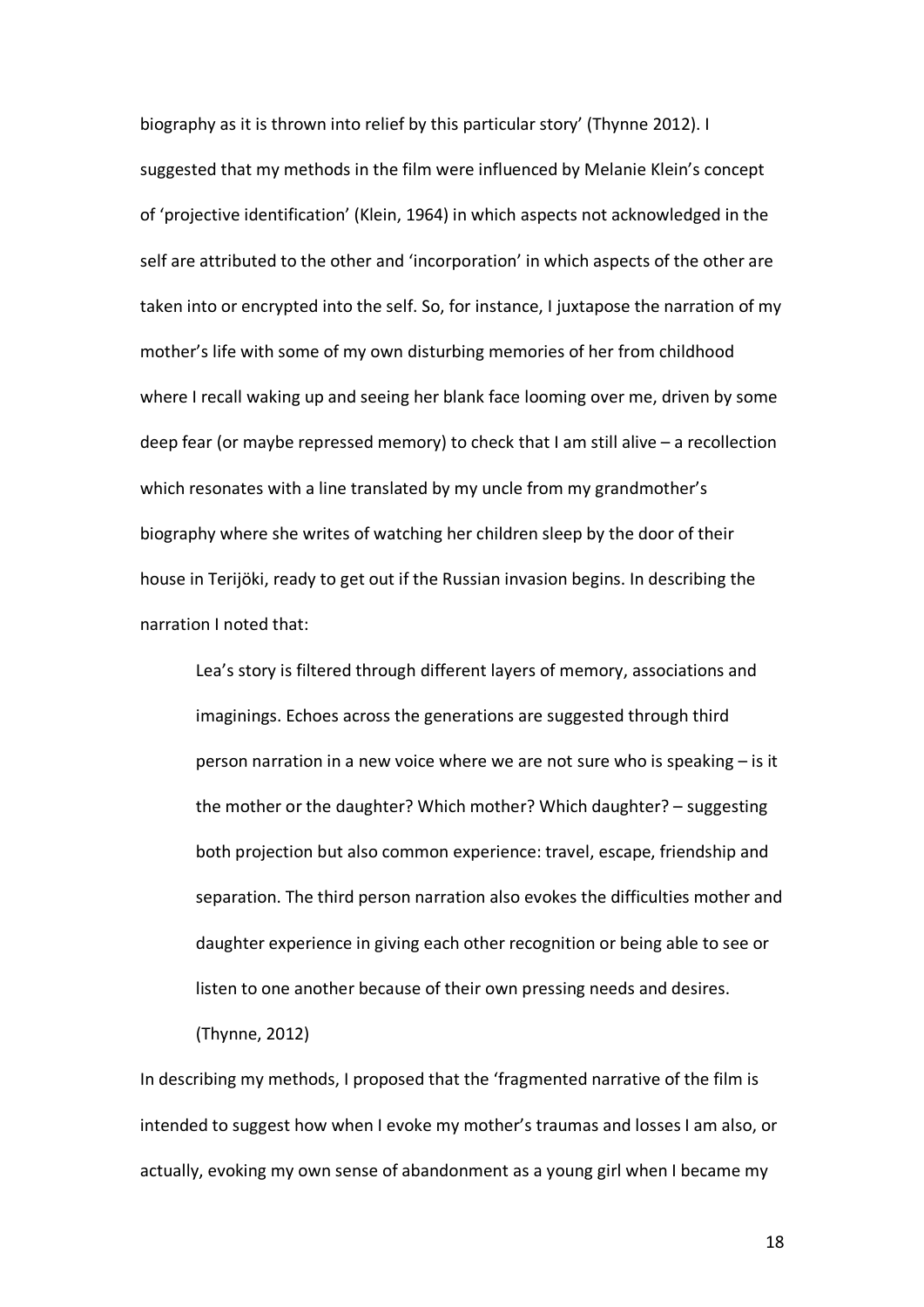biography as it is thrown into relief by this particular story' (Thynne 2012). I suggested that my methods in the film were influenced by Melanie Klein's concept of 'projective identification' (Klein, 1964) in which aspects not acknowledged in the self are attributed to the other and 'incorporation' in which aspects of the other are taken into or encrypted into the self. So, for instance, I juxtapose the narration of my mother's life with some of my own disturbing memories of her from childhood where I recall waking up and seeing her blank face looming over me, driven by some deep fear (or maybe repressed memory) to check that I am still alive – a recollection which resonates with a line translated by my uncle from my grandmother's biography where she writes of watching her children sleep by the door of their house in Terijöki, ready to get out if the Russian invasion begins. In describing the narration I noted that:

Lea's story is filtered through different layers of memory, associations and imaginings. Echoes across the generations are suggested through third person narration in a new voice where we are not sure who is speaking – is it the mother or the daughter? Which mother? Which daughter? – suggesting both projection but also common experience: travel, escape, friendship and separation. The third person narration also evokes the difficulties mother and daughter experience in giving each other recognition or being able to see or listen to one another because of their own pressing needs and desires.

(Thynne, 2012)

In describing my methods, I proposed that the 'fragmented narrative of the film is intended to suggest how when I evoke my mother's traumas and losses I am also, or actually, evoking my own sense of abandonment as a young girl when I became my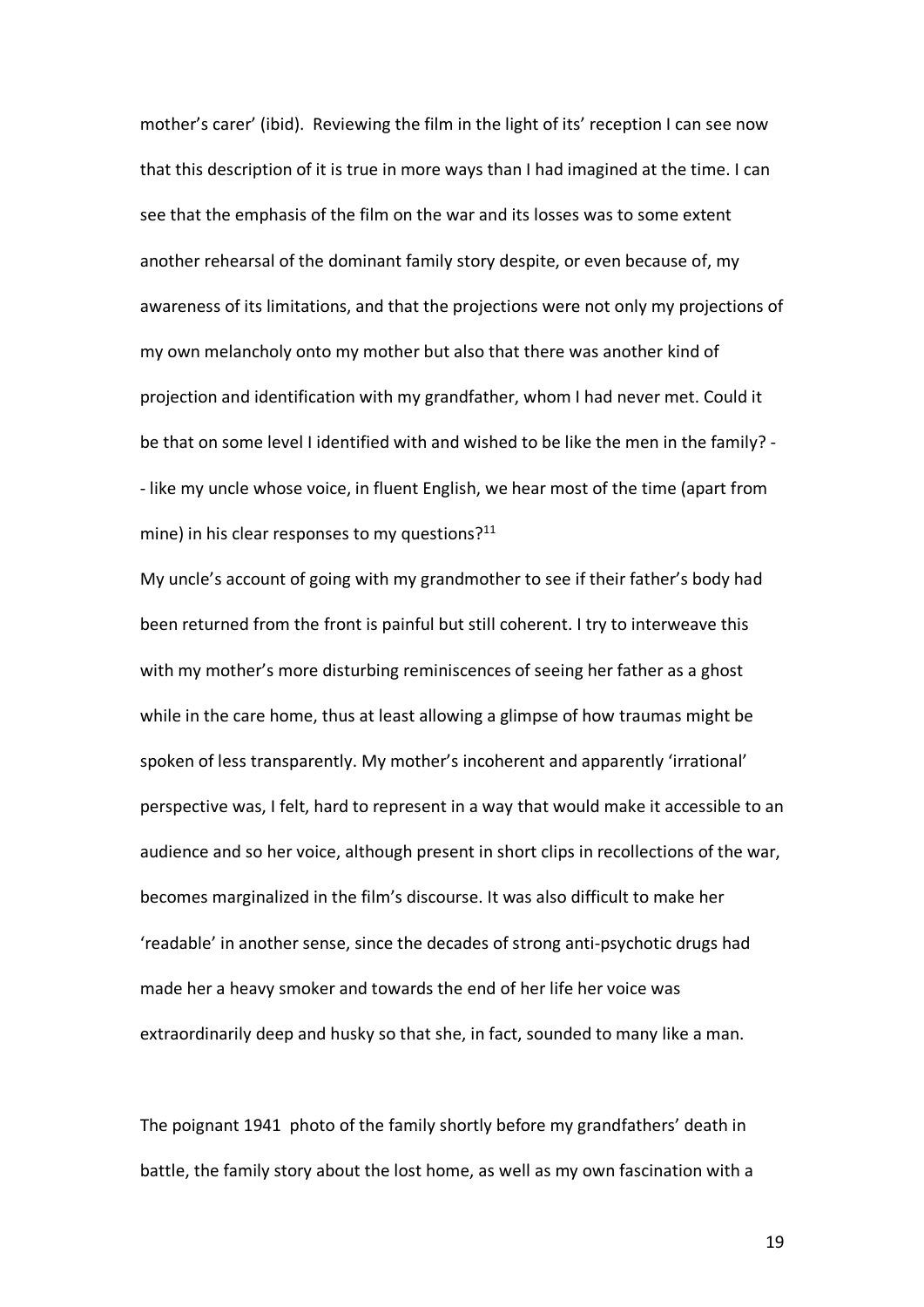mother's carer' (ibid). Reviewing the film in the light of its' reception I can see now that this description of it is true in more ways than I had imagined at the time. I can see that the emphasis of the film on the war and its losses was to some extent another rehearsal of the dominant family story despite, or even because of, my awareness of its limitations, and that the projections were not only my projections of my own melancholy onto my mother but also that there was another kind of projection and identification with my grandfather, whom I had never met. Could it be that on some level I identified with and wished to be like the men in the family? - - like my uncle whose voice, in fluent English, we hear most of the time (apart from mine) in his clear responses to my questions?<sup>11</sup>

My uncle's account of going with my grandmother to see if their father's body had been returned from the front is painful but still coherent. I try to interweave this with my mother's more disturbing reminiscences of seeing her father as a ghost while in the care home, thus at least allowing a glimpse of how traumas might be spoken of less transparently. My mother's incoherent and apparently 'irrational' perspective was, I felt, hard to represent in a way that would make it accessible to an audience and so her voice, although present in short clips in recollections of the war, becomes marginalized in the film's discourse. It was also difficult to make her 'readable' in another sense, since the decades of strong anti-psychotic drugs had made her a heavy smoker and towards the end of her life her voice was extraordinarily deep and husky so that she, in fact, sounded to many like a man.

The poignant 1941 photo of the family shortly before my grandfathers' death in battle, the family story about the lost home, as well as my own fascination with a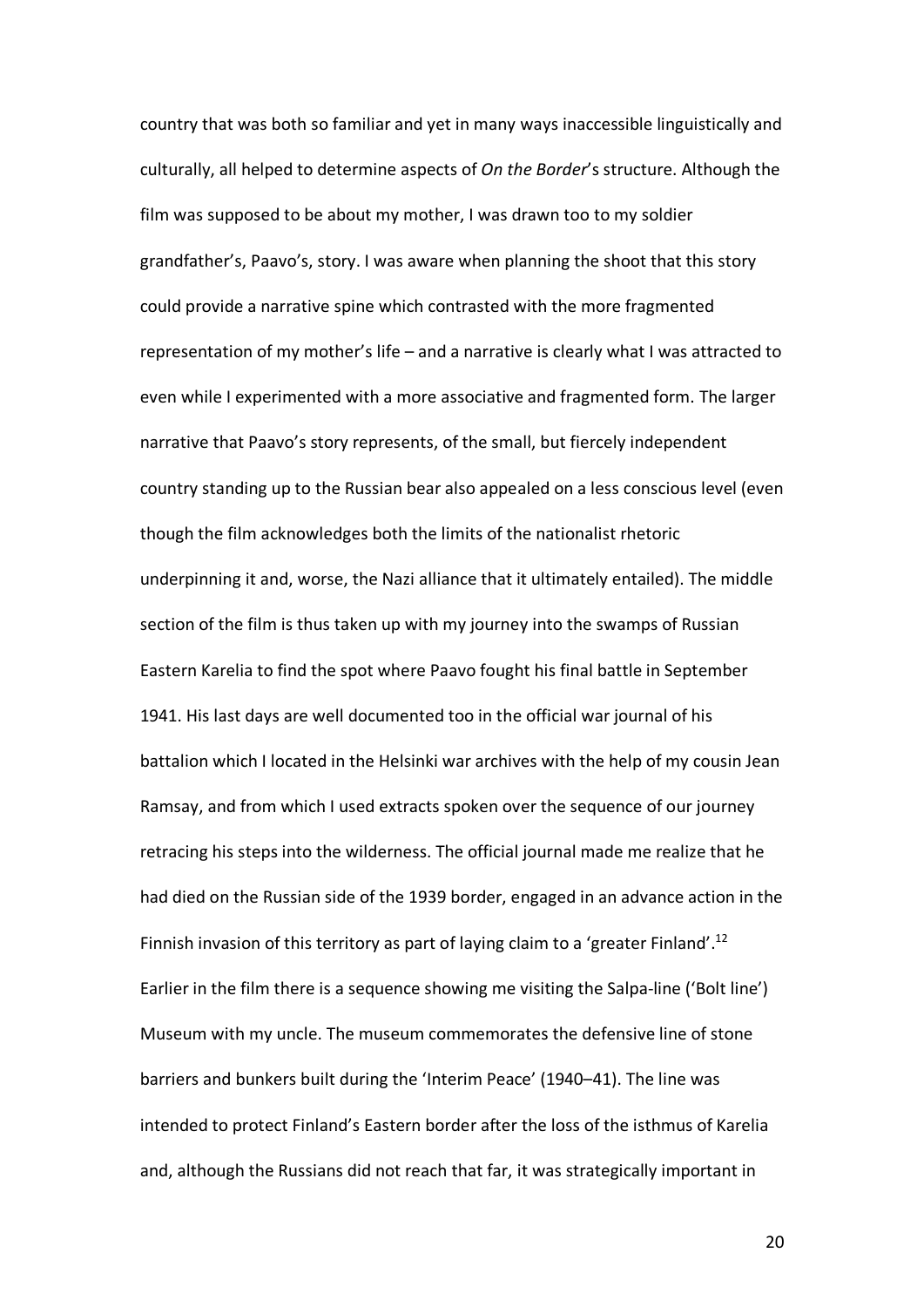country that was both so familiar and yet in many ways inaccessible linguistically and culturally, all helped to determine aspects of *On the Border*'s structure. Although the film was supposed to be about my mother, I was drawn too to my soldier grandfather's, Paavo's, story. I was aware when planning the shoot that this story could provide a narrative spine which contrasted with the more fragmented representation of my mother's life – and a narrative is clearly what I was attracted to even while I experimented with a more associative and fragmented form. The larger narrative that Paavo's story represents, of the small, but fiercely independent country standing up to the Russian bear also appealed on a less conscious level (even though the film acknowledges both the limits of the nationalist rhetoric underpinning it and, worse, the Nazi alliance that it ultimately entailed). The middle section of the film is thus taken up with my journey into the swamps of Russian Eastern Karelia to find the spot where Paavo fought his final battle in September 1941. His last days are well documented too in the official war journal of his battalion which I located in the Helsinki war archives with the help of my cousin Jean Ramsay, and from which I used extracts spoken over the sequence of our journey retracing his steps into the wilderness. The official journal made me realize that he had died on the Russian side of the 1939 border, engaged in an advance action in the Finnish invasion of this territory as part of laying claim to a 'greater Finland'.<sup>12</sup> Earlier in the film there is a sequence showing me visiting the Salpa-line ('Bolt line') Museum with my uncle. The museum commemorates the defensive line of stone barriers and bunkers built during the 'Interim Peace' (1940–41). The line was intended to protect Finland's Eastern border after the loss of the isthmus of Karelia and, although the Russians did not reach that far, it was strategically important in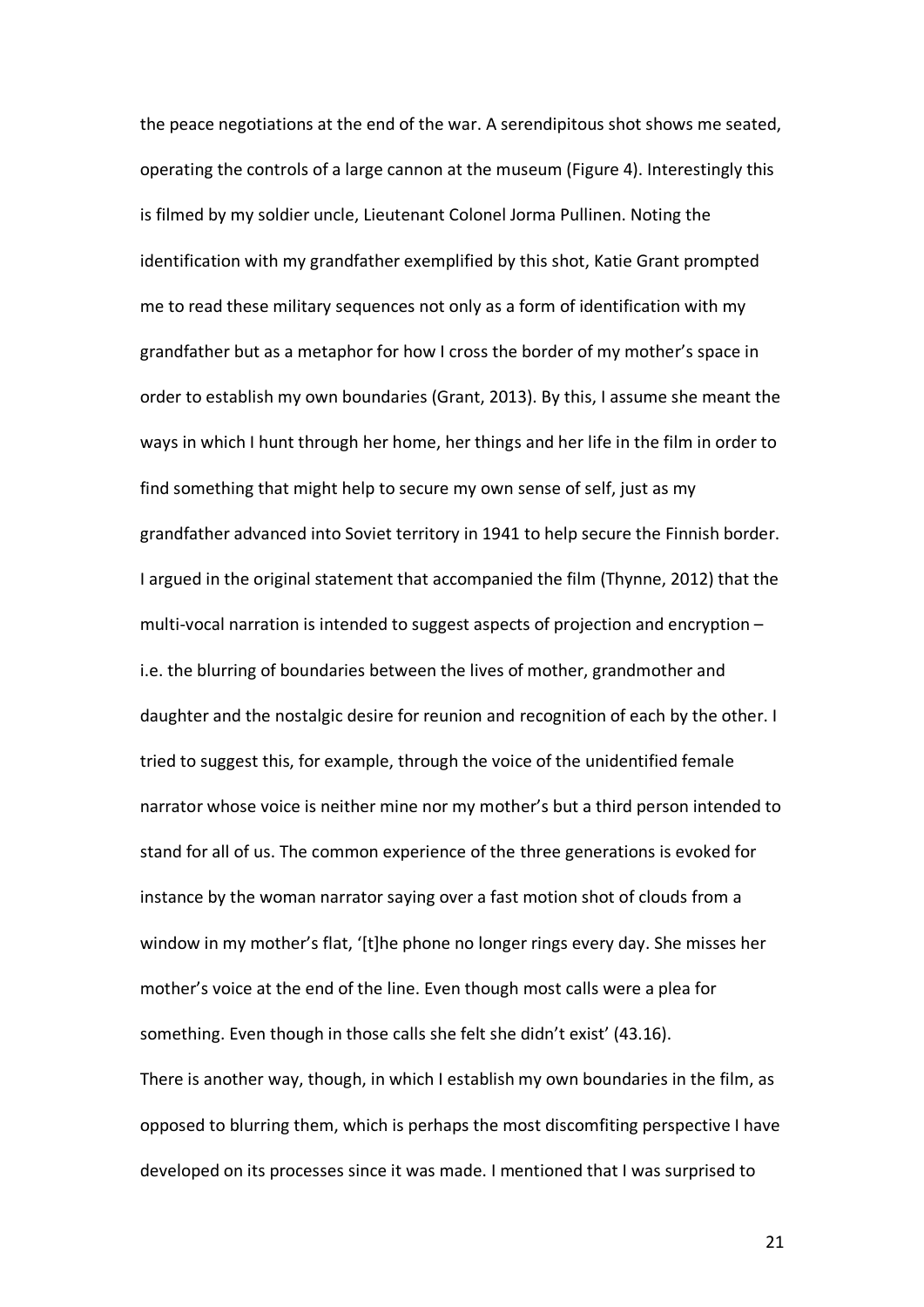the peace negotiations at the end of the war. A serendipitous shot shows me seated, operating the controls of a large cannon at the museum (Figure 4). Interestingly this is filmed by my soldier uncle, Lieutenant Colonel Jorma Pullinen. Noting the identification with my grandfather exemplified by this shot, Katie Grant prompted me to read these military sequences not only as a form of identification with my grandfather but as a metaphor for how I cross the border of my mother's space in order to establish my own boundaries (Grant, 2013). By this, I assume she meant the ways in which I hunt through her home, her things and her life in the film in order to find something that might help to secure my own sense of self, just as my grandfather advanced into Soviet territory in 1941 to help secure the Finnish border. I argued in the original statement that accompanied the film (Thynne, 2012) that the multi-vocal narration is intended to suggest aspects of projection and encryption – i.e. the blurring of boundaries between the lives of mother, grandmother and daughter and the nostalgic desire for reunion and recognition of each by the other. I tried to suggest this, for example, through the voice of the unidentified female narrator whose voice is neither mine nor my mother's but a third person intended to stand for all of us. The common experience of the three generations is evoked for instance by the woman narrator saying over a fast motion shot of clouds from a window in my mother's flat. '[t]he phone no longer rings every day. She misses her mother's voice at the end of the line. Even though most calls were a plea for something. Even though in those calls she felt she didn't exist' (43.16). There is another way, though, in which I establish my own boundaries in the film, as opposed to blurring them, which is perhaps the most discomfiting perspective I have developed on its processes since it was made. I mentioned that I was surprised to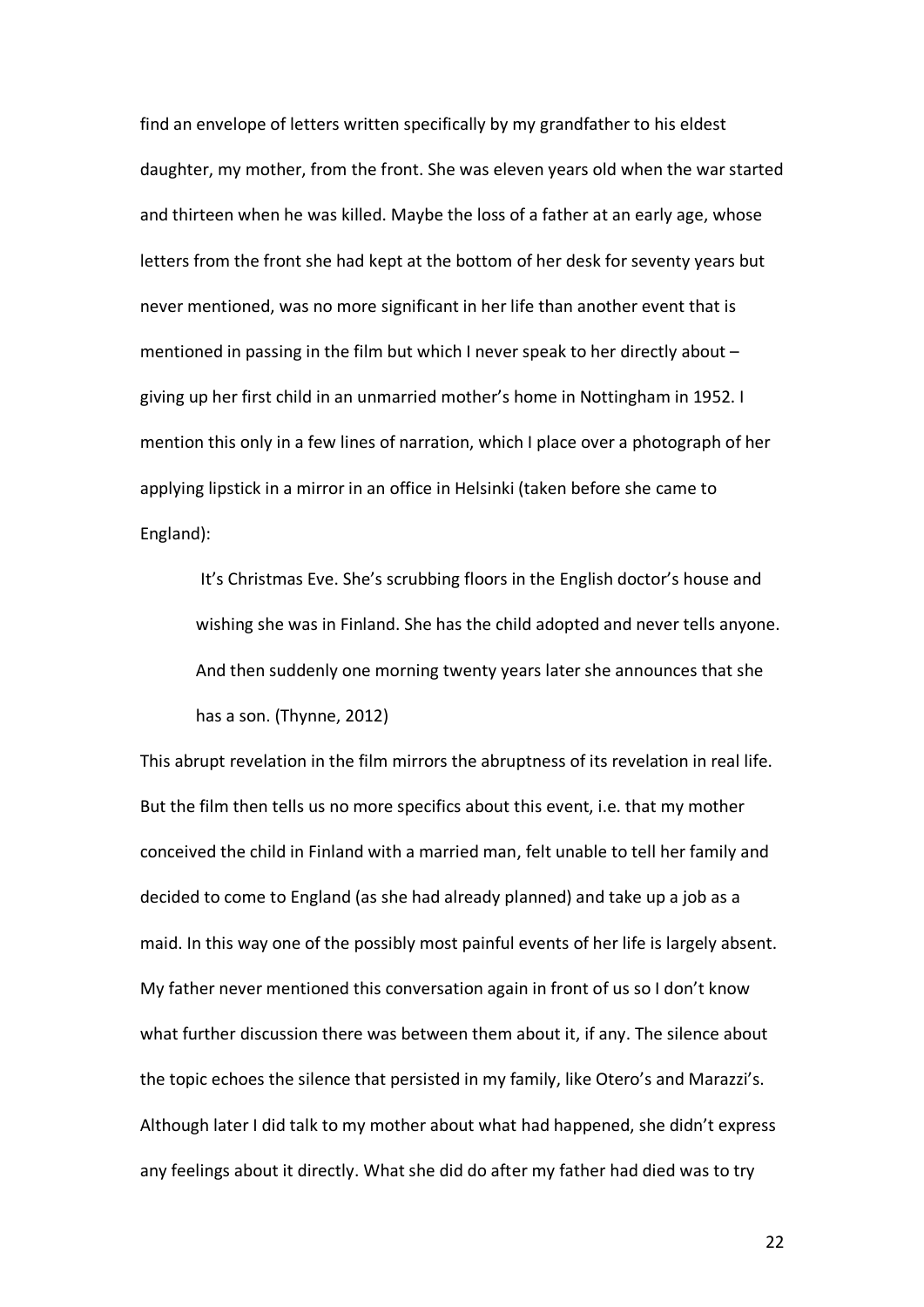find an envelope of letters written specifically by my grandfather to his eldest daughter, my mother, from the front. She was eleven years old when the war started and thirteen when he was killed. Maybe the loss of a father at an early age, whose letters from the front she had kept at the bottom of her desk for seventy years but never mentioned, was no more significant in her life than another event that is mentioned in passing in the film but which I never speak to her directly about – giving up her first child in an unmarried mother's home in Nottingham in 1952. I mention this only in a few lines of narration, which I place over a photograph of her applying lipstick in a mirror in an office in Helsinki (taken before she came to England):

It's Christmas Eve. She's scrubbing floors in the English doctor's house and wishing she was in Finland. She has the child adopted and never tells anyone. And then suddenly one morning twenty years later she announces that she has a son. (Thynne, 2012)

This abrupt revelation in the film mirrors the abruptness of its revelation in real life. But the film then tells us no more specifics about this event, i.e. that my mother conceived the child in Finland with a married man, felt unable to tell her family and decided to come to England (as she had already planned) and take up a job as a maid. In this way one of the possibly most painful events of her life is largely absent. My father never mentioned this conversation again in front of us so I don't know what further discussion there was between them about it, if any. The silence about the topic echoes the silence that persisted in my family, like Otero's and Marazzi's. Although later I did talk to my mother about what had happened, she didn't express any feelings about it directly. What she did do after my father had died was to try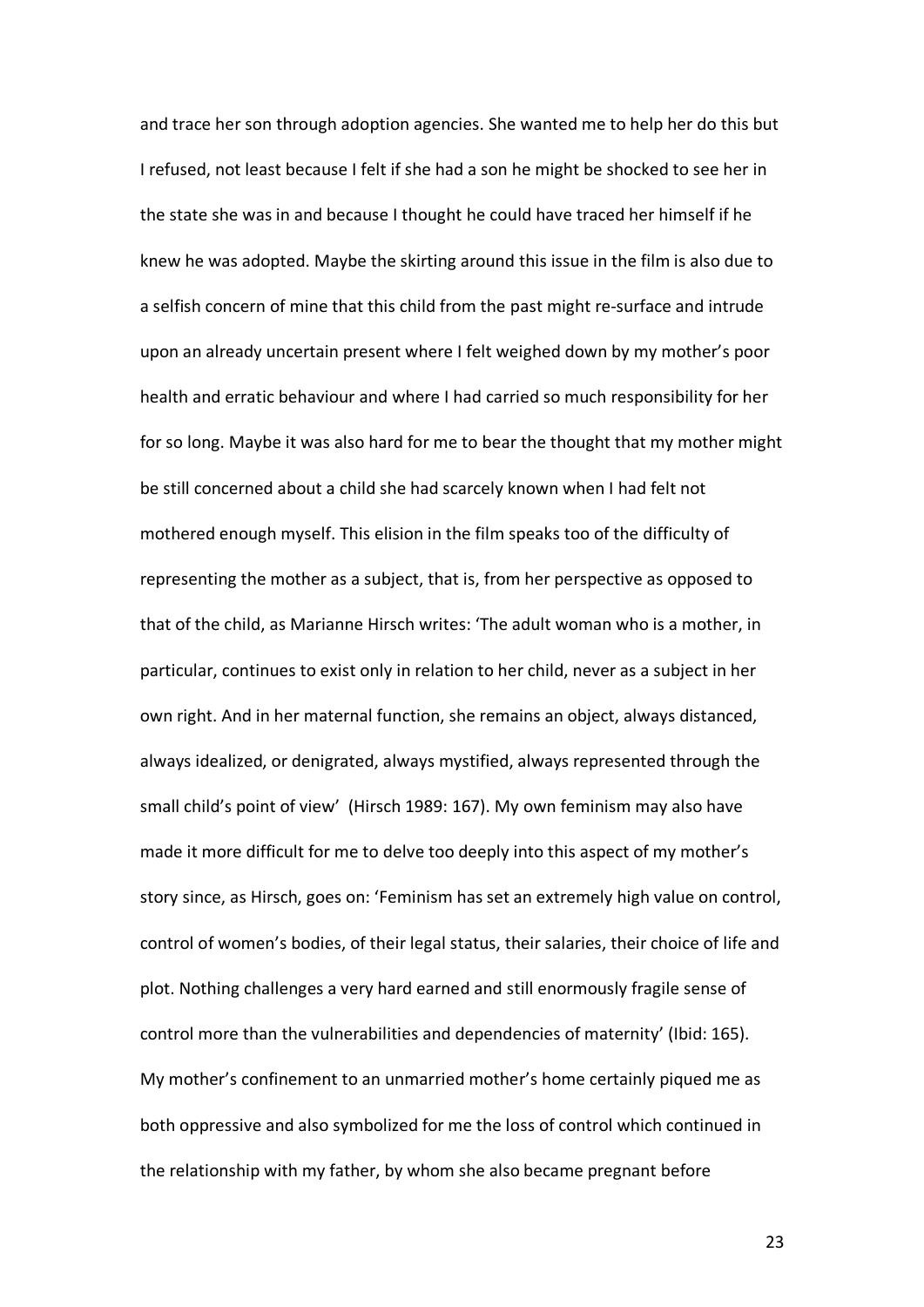and trace her son through adoption agencies. She wanted me to help her do this but I refused, not least because I felt if she had a son he might be shocked to see her in the state she was in and because I thought he could have traced her himself if he knew he was adopted. Maybe the skirting around this issue in the film is also due to a selfish concern of mine that this child from the past might re-surface and intrude upon an already uncertain present where I felt weighed down by my mother's poor health and erratic behaviour and where I had carried so much responsibility for her for so long. Maybe it was also hard for me to bear the thought that my mother might be still concerned about a child she had scarcely known when I had felt not mothered enough myself. This elision in the film speaks too of the difficulty of representing the mother as a subject, that is, from her perspective as opposed to that of the child, as Marianne Hirsch writes: 'The adult woman who is a mother, in particular, continues to exist only in relation to her child, never as a subject in her own right. And in her maternal function, she remains an object, always distanced, always idealized, or denigrated, always mystified, always represented through the small child's point of view' (Hirsch 1989: 167). My own feminism may also have made it more difficult for me to delve too deeply into this aspect of my mother's story since, as Hirsch, goes on: 'Feminism has set an extremely high value on control, control of women's bodies, of their legal status, their salaries, their choice of life and plot. Nothing challenges a very hard earned and still enormously fragile sense of control more than the vulnerabilities and dependencies of maternity' (Ibid: 165). My mother's confinement to an unmarried mother's home certainly piqued me as both oppressive and also symbolized for me the loss of control which continued in the relationship with my father, by whom she also became pregnant before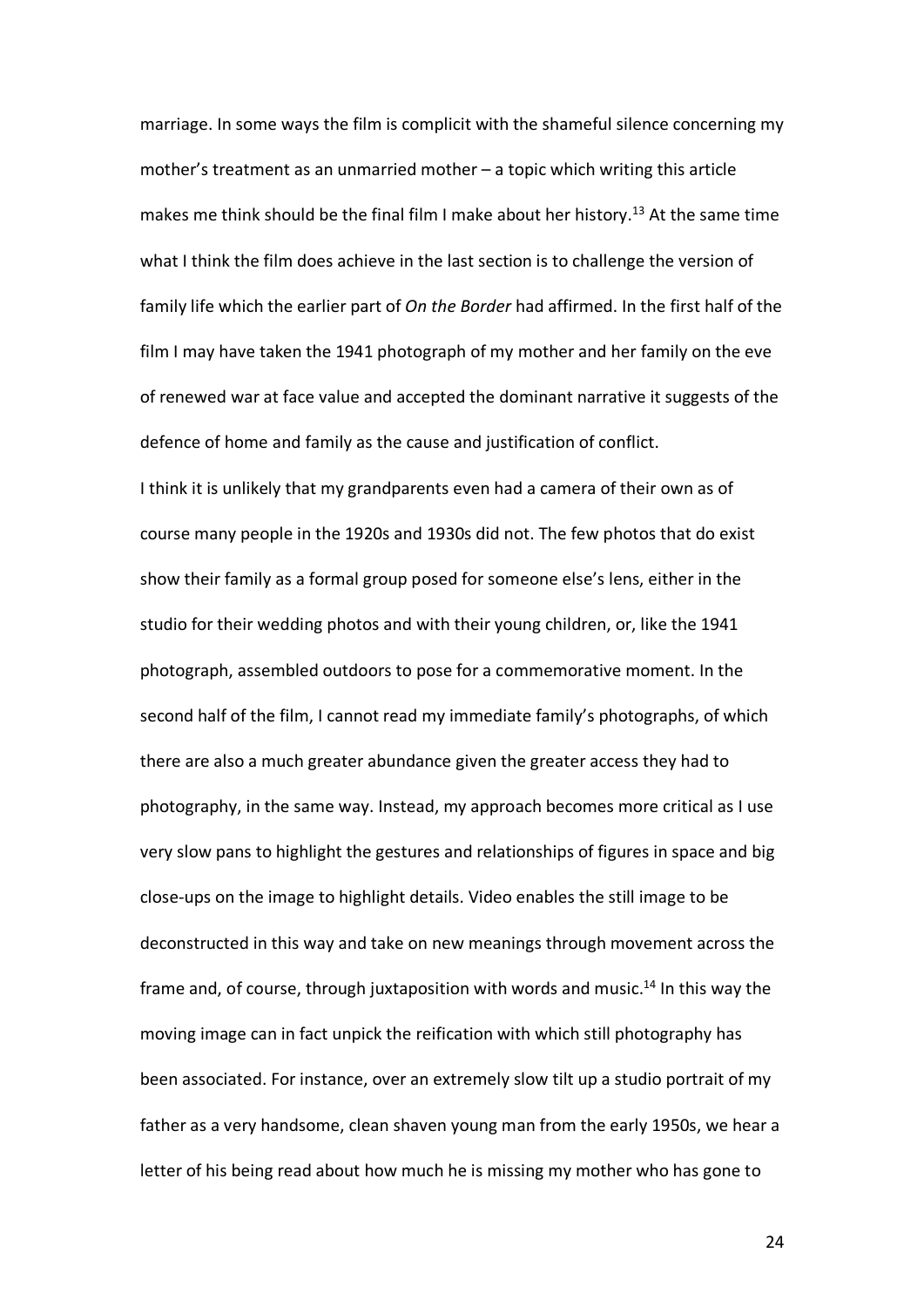marriage. In some ways the film is complicit with the shameful silence concerning my mother's treatment as an unmarried mother – a topic which writing this article makes me think should be the final film I make about her history.<sup>13</sup> At the same time what I think the film does achieve in the last section is to challenge the version of family life which the earlier part of *On the Border* had affirmed. In the first half of the film I may have taken the 1941 photograph of my mother and her family on the eve of renewed war at face value and accepted the dominant narrative it suggests of the defence of home and family as the cause and justification of conflict.

I think it is unlikely that my grandparents even had a camera of their own as of course many people in the 1920s and 1930s did not. The few photos that do exist show their family as a formal group posed for someone else's lens, either in the studio for their wedding photos and with their young children, or, like the 1941 photograph, assembled outdoors to pose for a commemorative moment. In the second half of the film, I cannot read my immediate family's photographs, of which there are also a much greater abundance given the greater access they had to photography, in the same way. Instead, my approach becomes more critical as I use very slow pans to highlight the gestures and relationships of figures in space and big close-ups on the image to highlight details. Video enables the still image to be deconstructed in this way and take on new meanings through movement across the frame and, of course, through juxtaposition with words and music.<sup>14</sup> In this way the moving image can in fact unpick the reification with which still photography has been associated. For instance, over an extremely slow tilt up a studio portrait of my father as a very handsome, clean shaven young man from the early 1950s, we hear a letter of his being read about how much he is missing my mother who has gone to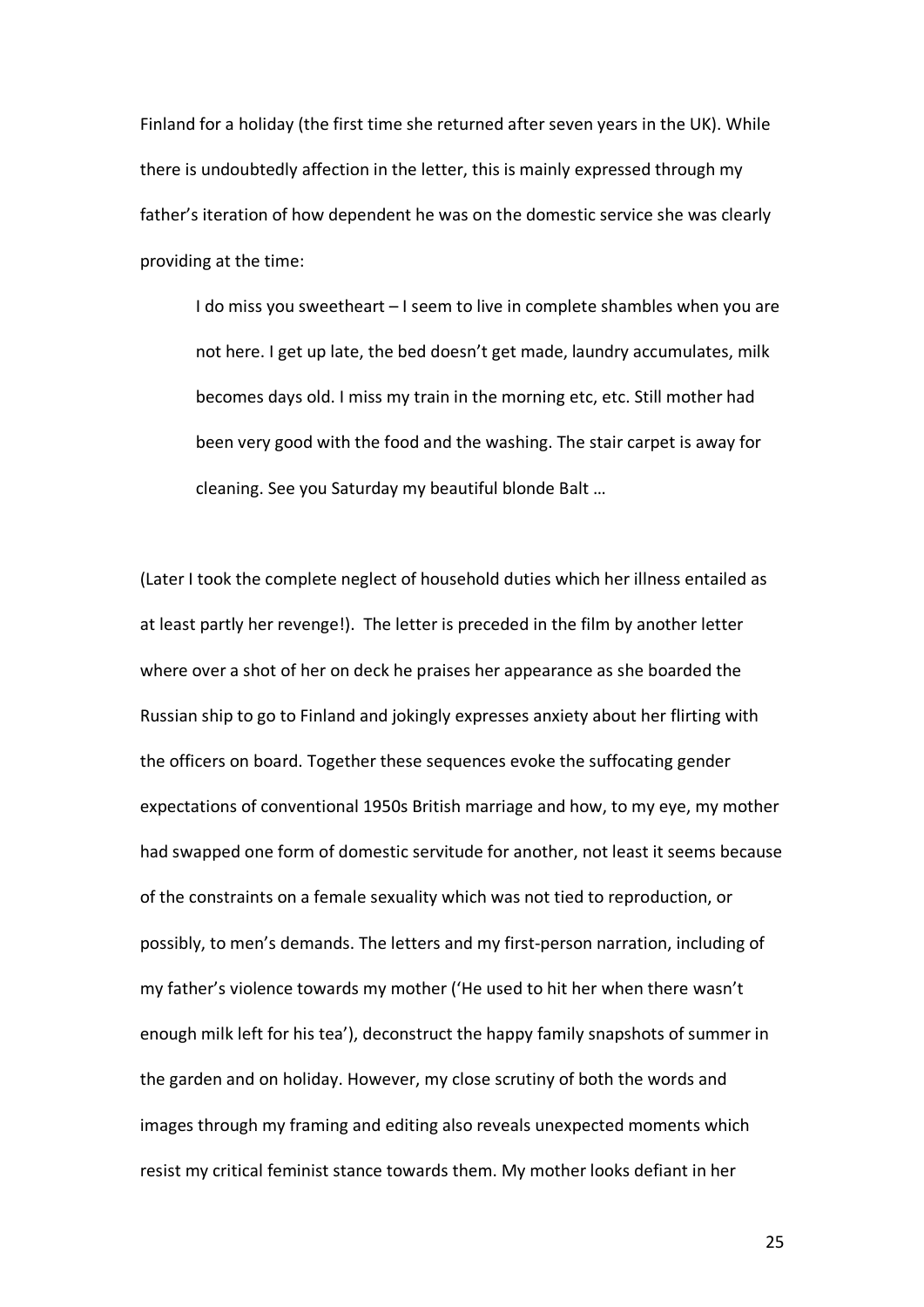Finland for a holiday (the first time she returned after seven years in the UK). While there is undoubtedly affection in the letter, this is mainly expressed through my father's iteration of how dependent he was on the domestic service she was clearly providing at the time:

I do miss you sweetheart – I seem to live in complete shambles when you are not here. I get up late, the bed doesn't get made, laundry accumulates, milk becomes days old. I miss my train in the morning etc, etc. Still mother had been very good with the food and the washing. The stair carpet is away for cleaning. See you Saturday my beautiful blonde Balt …

(Later I took the complete neglect of household duties which her illness entailed as at least partly her revenge!). The letter is preceded in the film by another letter where over a shot of her on deck he praises her appearance as she boarded the Russian ship to go to Finland and jokingly expresses anxiety about her flirting with the officers on board. Together these sequences evoke the suffocating gender expectations of conventional 1950s British marriage and how, to my eye, my mother had swapped one form of domestic servitude for another, not least it seems because of the constraints on a female sexuality which was not tied to reproduction, or possibly, to men's demands. The letters and my first-person narration, including of my father's violence towards my mother ('He used to hit her when there wasn't enough milk left for his tea'), deconstruct the happy family snapshots of summer in the garden and on holiday. However, my close scrutiny of both the words and images through my framing and editing also reveals unexpected moments which resist my critical feminist stance towards them. My mother looks defiant in her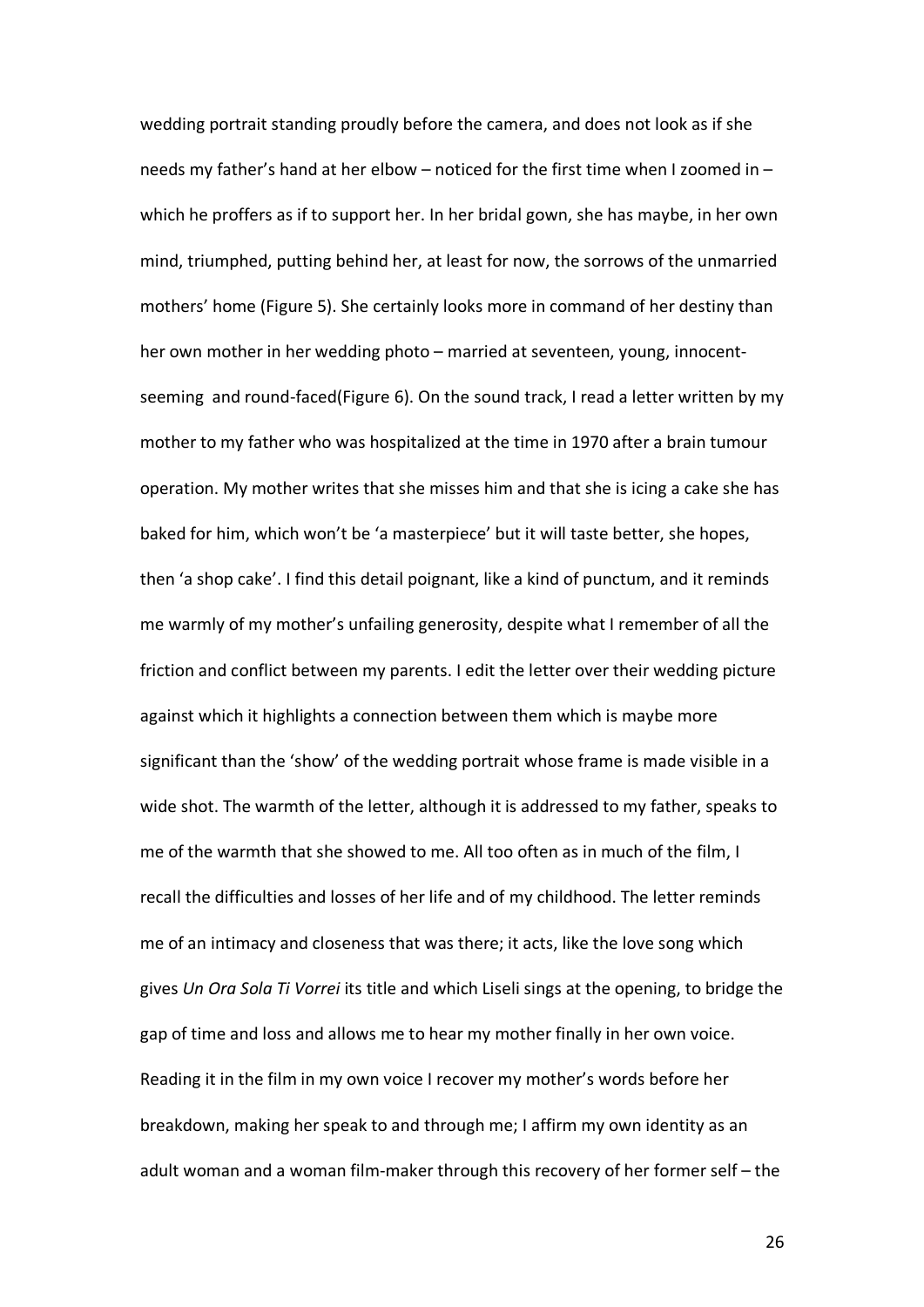wedding portrait standing proudly before the camera, and does not look as if she needs my father's hand at her elbow – noticed for the first time when I zoomed in – which he proffers as if to support her. In her bridal gown, she has maybe, in her own mind, triumphed, putting behind her, at least for now, the sorrows of the unmarried mothers' home (Figure 5). She certainly looks more in command of her destiny than her own mother in her wedding photo – married at seventeen, young, innocentseeming and round-faced(Figure 6). On the sound track, I read a letter written by my mother to my father who was hospitalized at the time in 1970 after a brain tumour operation. My mother writes that she misses him and that she is icing a cake she has baked for him, which won't be 'a masterpiece' but it will taste better, she hopes, then 'a shop cake'. I find this detail poignant, like a kind of punctum, and it reminds me warmly of my mother's unfailing generosity, despite what I remember of all the friction and conflict between my parents. I edit the letter over their wedding picture against which it highlights a connection between them which is maybe more significant than the 'show' of the wedding portrait whose frame is made visible in a wide shot. The warmth of the letter, although it is addressed to my father, speaks to me of the warmth that she showed to me. All too often as in much of the film, I recall the difficulties and losses of her life and of my childhood. The letter reminds me of an intimacy and closeness that was there; it acts, like the love song which gives *Un Ora Sola Ti Vorrei* its title and which Liseli sings at the opening, to bridge the gap of time and loss and allows me to hear my mother finally in her own voice. Reading it in the film in my own voice I recover my mother's words before her breakdown, making her speak to and through me; I affirm my own identity as an adult woman and a woman film-maker through this recovery of her former self – the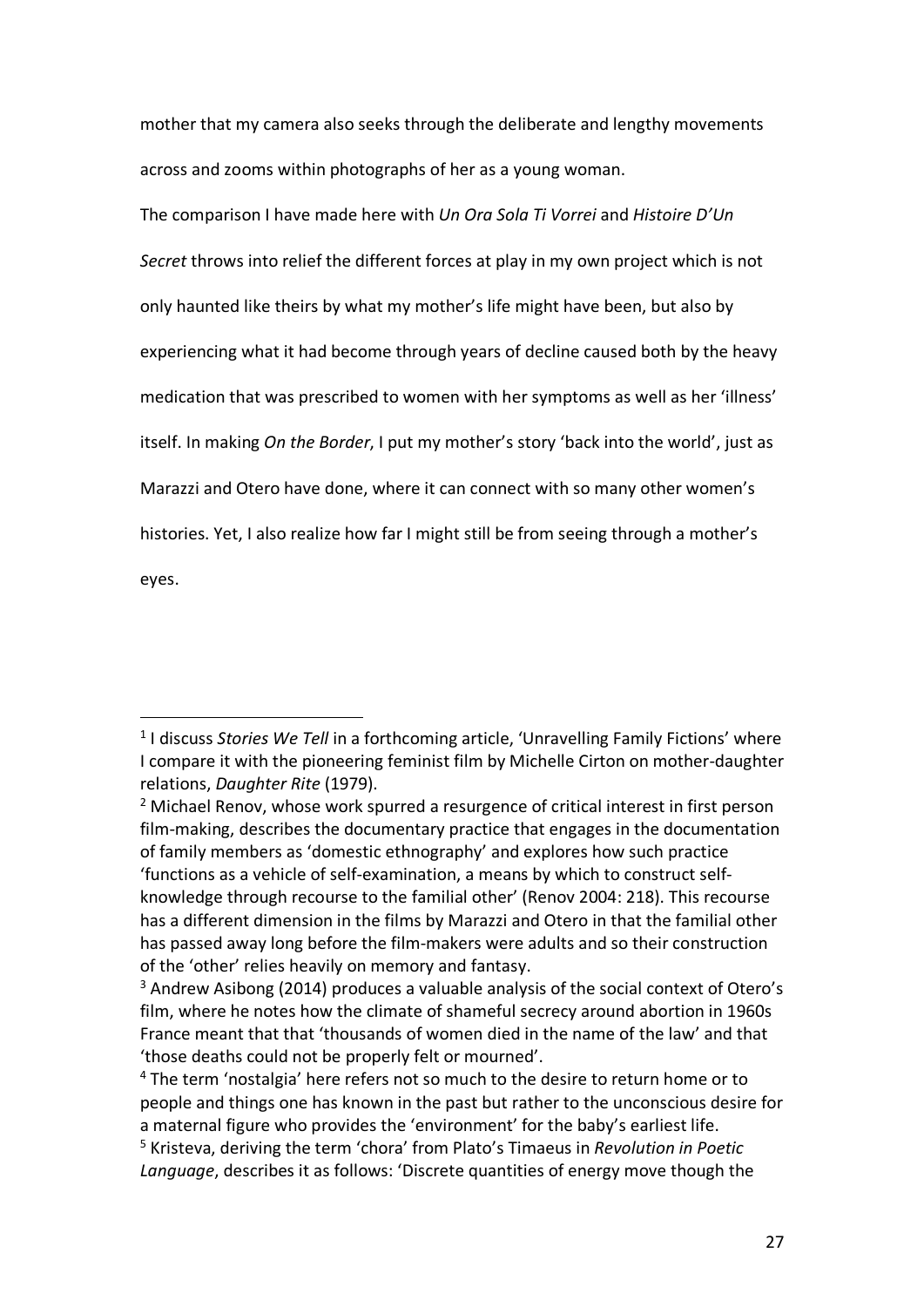mother that my camera also seeks through the deliberate and lengthy movements across and zooms within photographs of her as a young woman.

The comparison I have made here with *Un Ora Sola Ti Vorrei* and *Histoire D'Un Secret* throws into relief the different forces at play in my own project which is not only haunted like theirs by what my mother's life might have been, but also by experiencing what it had become through years of decline caused both by the heavy medication that was prescribed to women with her symptoms as well as her 'illness' itself. In making *On the Border*, I put my mother's story 'back into the world', just as Marazzi and Otero have done, where it can connect with so many other women's histories. Yet, I also realize how far I might still be from seeing through a mother's eyes.

 $\overline{a}$ 

<sup>&</sup>lt;sup>1</sup> I discuss *Stories We Tell* in a forthcoming article, 'Unravelling Family Fictions' where I compare it with the pioneering feminist film by Michelle Cirton on mother-daughter relations, *Daughter Rite* (1979).

<sup>&</sup>lt;sup>2</sup> Michael Renov, whose work spurred a resurgence of critical interest in first person film-making, describes the documentary practice that engages in the documentation of family members as 'domestic ethnography' and explores how such practice 'functions as a vehicle of self-examination, a means by which to construct selfknowledge through recourse to the familial other' (Renov 2004: 218). This recourse has a different dimension in the films by Marazzi and Otero in that the familial other has passed away long before the film-makers were adults and so their construction of the 'other' relies heavily on memory and fantasy.

<sup>3</sup> Andrew Asibong (2014) produces a valuable analysis of the social context of Otero's film, where he notes how the climate of shameful secrecy around abortion in 1960s France meant that that 'thousands of women died in the name of the law' and that 'those deaths could not be properly felt or mourned'.

<sup>&</sup>lt;sup>4</sup> The term 'nostalgia' here refers not so much to the desire to return home or to people and things one has known in the past but rather to the unconscious desire for a maternal figure who provides the 'environment' for the baby's earliest life.

<sup>5</sup> Kristeva, deriving the term 'chora' from Plato's Timaeus in *Revolution in Poetic Language*, describes it as follows: 'Discrete quantities of energy move though the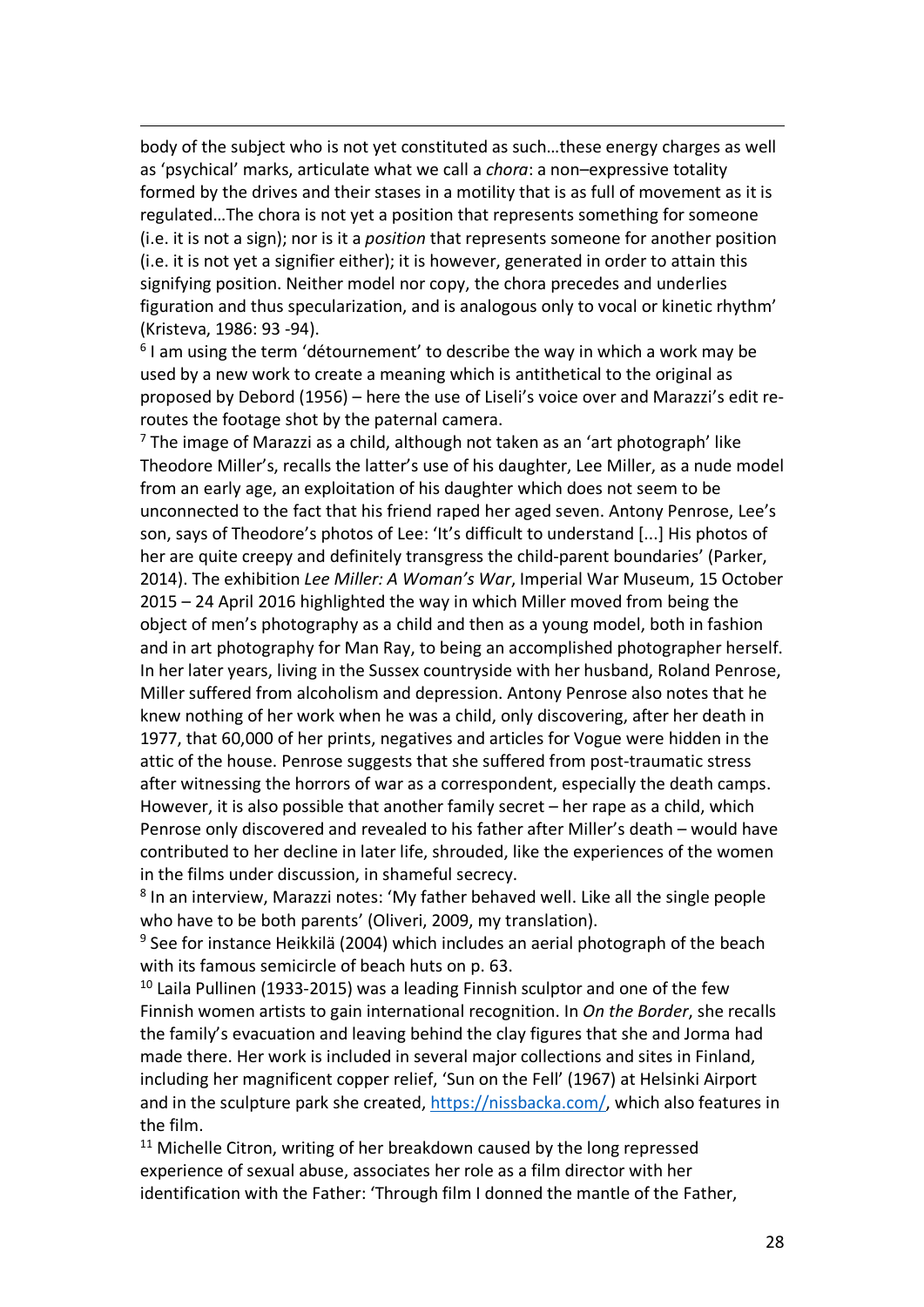body of the subject who is not yet constituted as such…these energy charges as well as 'psychical' marks, articulate what we call a *chora*: a non–expressive totality formed by the drives and their stases in a motility that is as full of movement as it is regulated…The chora is not yet a position that represents something for someone (i.e. it is not a sign); nor is it a *position* that represents someone for another position (i.e. it is not yet a signifier either); it is however, generated in order to attain this signifying position. Neither model nor copy, the chora precedes and underlies figuration and thus specularization, and is analogous only to vocal or kinetic rhythm' (Kristeva, 1986: 93 -94).

 $\overline{a}$ 

 $6$  I am using the term 'détournement' to describe the way in which a work may be used by a new work to create a meaning which is antithetical to the original as proposed by Debord (1956) – here the use of Liseli's voice over and Marazzi's edit reroutes the footage shot by the paternal camera.

 $<sup>7</sup>$  The image of Marazzi as a child, although not taken as an 'art photograph' like</sup> Theodore Miller's, recalls the latter's use of his daughter, Lee Miller, as a nude model from an early age, an exploitation of his daughter which does not seem to be unconnected to the fact that his friend raped her aged seven. Antony Penrose, Lee's son, says of Theodore's photos of Lee: 'It's difficult to understand [...] His photos of her are quite creepy and definitely transgress the child-parent boundaries' (Parker, 2014). The exhibition *Lee Miller: A Woman's War*, Imperial War Museum, 15 October 2015 – 24 April 2016 highlighted the way in which Miller moved from being the object of men's photography as a child and then as a young model, both in fashion and in art photography for Man Ray, to being an accomplished photographer herself. In her later years, living in the Sussex countryside with her husband, Roland Penrose, Miller suffered from alcoholism and depression. Antony Penrose also notes that he knew nothing of her work when he was a child, only discovering, after her death in 1977, that 60,000 of her prints, negatives and articles for Vogue were hidden in the attic of the house. Penrose suggests that she suffered from post-traumatic stress after witnessing the horrors of war as a correspondent, especially the death camps. However, it is also possible that another family secret – her rape as a child, which Penrose only discovered and revealed to his father after Miller's death – would have contributed to her decline in later life, shrouded, like the experiences of the women in the films under discussion, in shameful secrecy.

<sup>8</sup> In an interview, Marazzi notes: 'My father behaved well. Like all the single people who have to be both parents' (Oliveri, 2009, my translation).

 $9$  See for instance Heikkilä (2004) which includes an aerial photograph of the beach with its famous semicircle of beach huts on p. 63.

 $10$  Laila Pullinen (1933-2015) was a leading Finnish sculptor and one of the few Finnish women artists to gain international recognition. In *On the Border*, she recalls the family's evacuation and leaving behind the clay figures that she and Jorma had made there. Her work is included in several major collections and sites in Finland, including her magnificent copper relief, 'Sun on the Fell' (1967) at Helsinki Airport and in the sculpture park she created, https://nissbacka.com/, which also features in the film.

 $11$  Michelle Citron, writing of her breakdown caused by the long repressed experience of sexual abuse, associates her role as a film director with her identification with the Father: 'Through film I donned the mantle of the Father,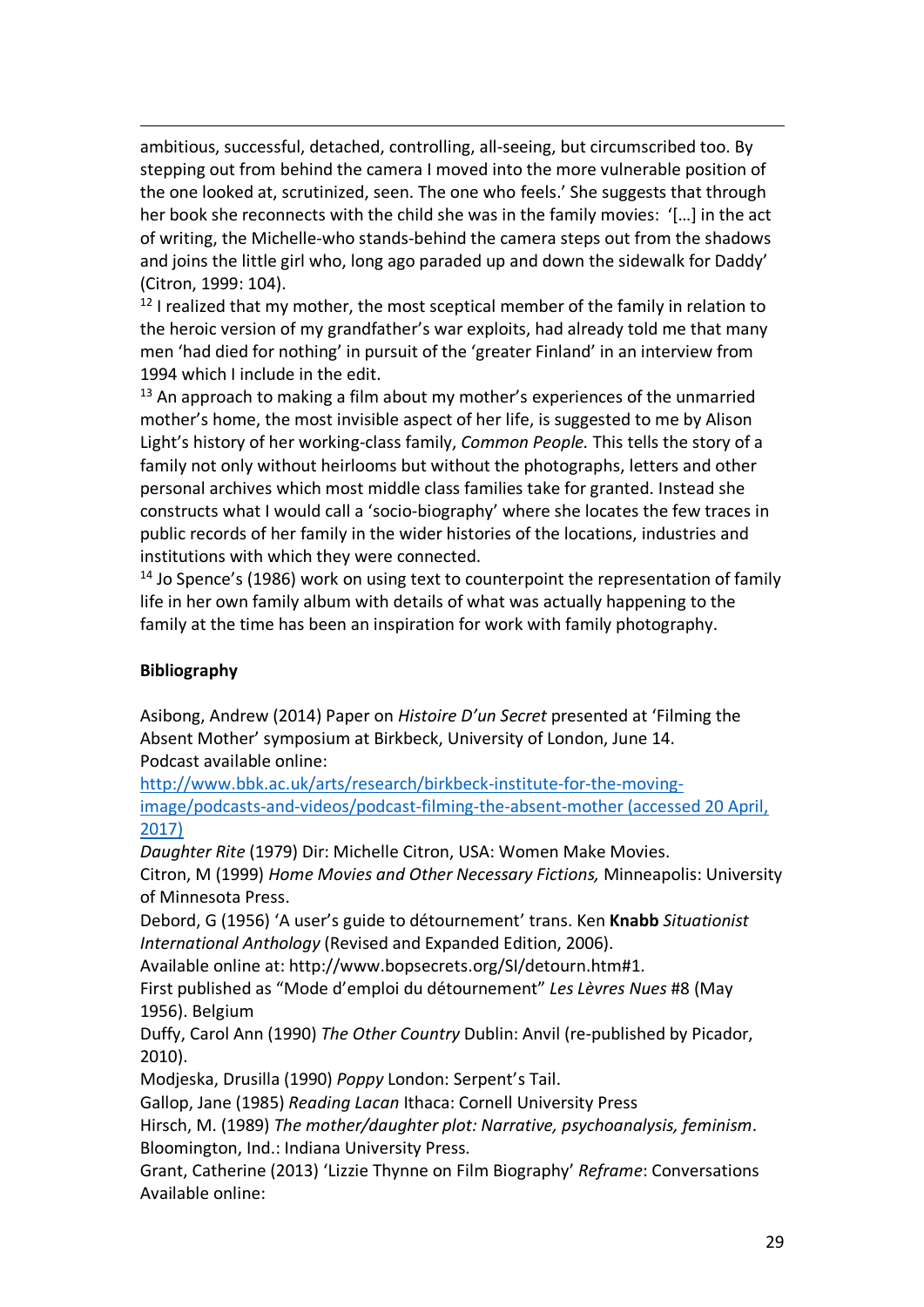ambitious, successful, detached, controlling, all-seeing, but circumscribed too. By stepping out from behind the camera I moved into the more vulnerable position of the one looked at, scrutinized, seen. The one who feels.' She suggests that through her book she reconnects with the child she was in the family movies: '[…] in the act of writing, the Michelle-who stands-behind the camera steps out from the shadows and joins the little girl who, long ago paraded up and down the sidewalk for Daddy' (Citron, 1999: 104).

 $12$  I realized that my mother, the most sceptical member of the family in relation to the heroic version of my grandfather's war exploits, had already told me that many men 'had died for nothing' in pursuit of the 'greater Finland' in an interview from 1994 which I include in the edit.

 $13$  An approach to making a film about my mother's experiences of the unmarried mother's home, the most invisible aspect of her life, is suggested to me by Alison Light's history of her working-class family, *Common People.* This tells the story of a family not only without heirlooms but without the photographs, letters and other personal archives which most middle class families take for granted. Instead she constructs what I would call a 'socio-biography' where she locates the few traces in public records of her family in the wider histories of the locations, industries and institutions with which they were connected.

<sup>14</sup> Jo Spence's (1986) work on using text to counterpoint the representation of family life in her own family album with details of what was actually happening to the family at the time has been an inspiration for work with family photography.

## **Bibliography**

 $\overline{a}$ 

Asibong, Andrew (2014) Paper on *Histoire D'un Secret* presented at 'Filming the Absent Mother' symposium at Birkbeck, University of London, June 14. Podcast available online:

http://www.bbk.ac.uk/arts/research/birkbeck-institute-for-the-movingimage/podcasts-and-videos/podcast-filming-the-absent-mother (accessed 20 April, 2017)

*Daughter Rite* (1979) Dir: Michelle Citron, USA: Women Make Movies.

Citron, M (1999) *Home Movies and Other Necessary Fictions,* Minneapolis: University of Minnesota Press.

Debord, G (1956) 'A user's guide to détournement' trans. Ken **Knabb** *Situationist International Anthology* (Revised and Expanded Edition, 2006).

Available online at: http://www.bopsecrets.org/SI/detourn.htm#1.

First published as "Mode d'emploi du détournement" *Les Lèvres Nues* #8 (May 1956). Belgium

Duffy, Carol Ann (1990) *The Other Country* Dublin: Anvil (re-published by Picador, 2010).

Modjeska, Drusilla (1990) *Poppy* London: Serpent's Tail.

Gallop, Jane (1985) *Reading Lacan* Ithaca: Cornell University Press

Hirsch, M. (1989) *The mother/daughter plot: Narrative, psychoanalysis, feminism*. Bloomington, Ind.: Indiana University Press.

Grant, Catherine (2013) 'Lizzie Thynne on Film Biography' *Reframe*: Conversations Available online: